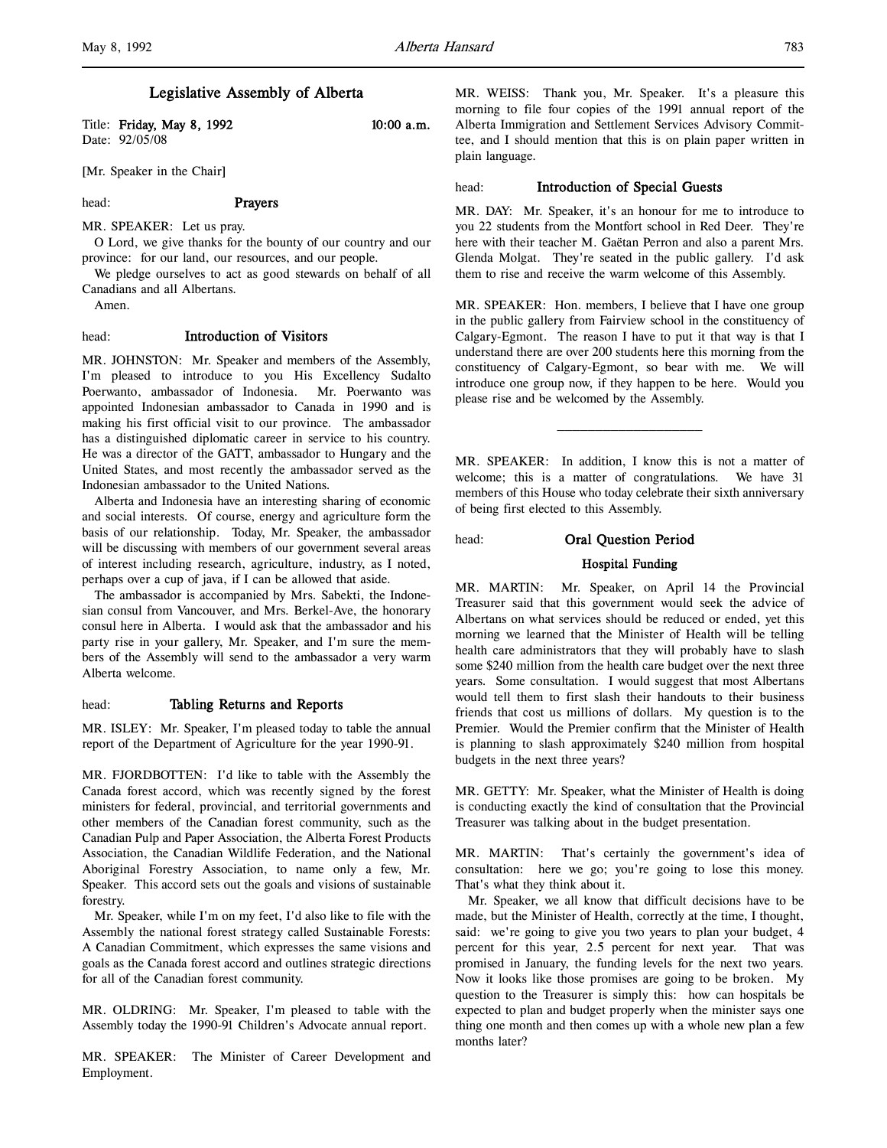# Legislative Assembly of Alberta

Title: Friday, May 8, 1992 10:00 a.m. Date: 92/05/08

[Mr. Speaker in the Chair]

head: Prayers

MR. SPEAKER: Let us pray.

O Lord, we give thanks for the bounty of our country and our province: for our land, our resources, and our people.

We pledge ourselves to act as good stewards on behalf of all Canadians and all Albertans.

Amen.

# head: Introduction of Visitors

MR. JOHNSTON: Mr. Speaker and members of the Assembly, I'm pleased to introduce to you His Excellency Sudalto Poerwanto, ambassador of Indonesia. Mr. Poerwanto was appointed Indonesian ambassador to Canada in 1990 and is making his first official visit to our province. The ambassador has a distinguished diplomatic career in service to his country. He was a director of the GATT, ambassador to Hungary and the United States, and most recently the ambassador served as the Indonesian ambassador to the United Nations.

Alberta and Indonesia have an interesting sharing of economic and social interests. Of course, energy and agriculture form the basis of our relationship. Today, Mr. Speaker, the ambassador will be discussing with members of our government several areas of interest including research, agriculture, industry, as I noted, perhaps over a cup of java, if I can be allowed that aside.

The ambassador is accompanied by Mrs. Sabekti, the Indonesian consul from Vancouver, and Mrs. Berkel-Ave, the honorary consul here in Alberta. I would ask that the ambassador and his party rise in your gallery, Mr. Speaker, and I'm sure the members of the Assembly will send to the ambassador a very warm Alberta welcome.

# head: Tabling Returns and Reports

MR. ISLEY: Mr. Speaker, I'm pleased today to table the annual report of the Department of Agriculture for the year 1990-91.

MR. FJORDBOTTEN: I'd like to table with the Assembly the Canada forest accord, which was recently signed by the forest ministers for federal, provincial, and territorial governments and other members of the Canadian forest community, such as the Canadian Pulp and Paper Association, the Alberta Forest Products Association, the Canadian Wildlife Federation, and the National Aboriginal Forestry Association, to name only a few, Mr. Speaker. This accord sets out the goals and visions of sustainable forestry.

Mr. Speaker, while I'm on my feet, I'd also like to file with the Assembly the national forest strategy called Sustainable Forests: A Canadian Commitment, which expresses the same visions and goals as the Canada forest accord and outlines strategic directions for all of the Canadian forest community.

MR. OLDRING: Mr. Speaker, I'm pleased to table with the Assembly today the 1990-91 Children's Advocate annual report.

MR. SPEAKER: The Minister of Career Development and Employment.

MR. WEISS: Thank you, Mr. Speaker. It's a pleasure this morning to file four copies of the 1991 annual report of the Alberta Immigration and Settlement Services Advisory Committee, and I should mention that this is on plain paper written in plain language.

#### head: **Introduction of Special Guests**

MR. DAY: Mr. Speaker, it's an honour for me to introduce to you 22 students from the Montfort school in Red Deer. They're here with their teacher M. Gaëtan Perron and also a parent Mrs. Glenda Molgat. They're seated in the public gallery. I'd ask them to rise and receive the warm welcome of this Assembly.

MR. SPEAKER: Hon. members, I believe that I have one group in the public gallery from Fairview school in the constituency of Calgary-Egmont. The reason I have to put it that way is that I understand there are over 200 students here this morning from the constituency of Calgary-Egmont, so bear with me. We will introduce one group now, if they happen to be here. Would you please rise and be welcomed by the Assembly.

MR. SPEAKER: In addition, I know this is not a matter of welcome; this is a matter of congratulations. We have 31 members of this House who today celebrate their sixth anniversary of being first elected to this Assembly.

)))))))))))))))))))

head: Oral Question Period

## Hospital Funding

MR. MARTIN: Mr. Speaker, on April 14 the Provincial Treasurer said that this government would seek the advice of Albertans on what services should be reduced or ended, yet this morning we learned that the Minister of Health will be telling health care administrators that they will probably have to slash some \$240 million from the health care budget over the next three years. Some consultation. I would suggest that most Albertans would tell them to first slash their handouts to their business friends that cost us millions of dollars. My question is to the Premier. Would the Premier confirm that the Minister of Health is planning to slash approximately \$240 million from hospital budgets in the next three years?

MR. GETTY: Mr. Speaker, what the Minister of Health is doing is conducting exactly the kind of consultation that the Provincial Treasurer was talking about in the budget presentation.

MR. MARTIN: That's certainly the government's idea of consultation: here we go; you're going to lose this money. That's what they think about it.

Mr. Speaker, we all know that difficult decisions have to be made, but the Minister of Health, correctly at the time, I thought, said: we're going to give you two years to plan your budget, 4 percent for this year, 2.5 percent for next year. That was promised in January, the funding levels for the next two years. Now it looks like those promises are going to be broken. My question to the Treasurer is simply this: how can hospitals be expected to plan and budget properly when the minister says one thing one month and then comes up with a whole new plan a few months later?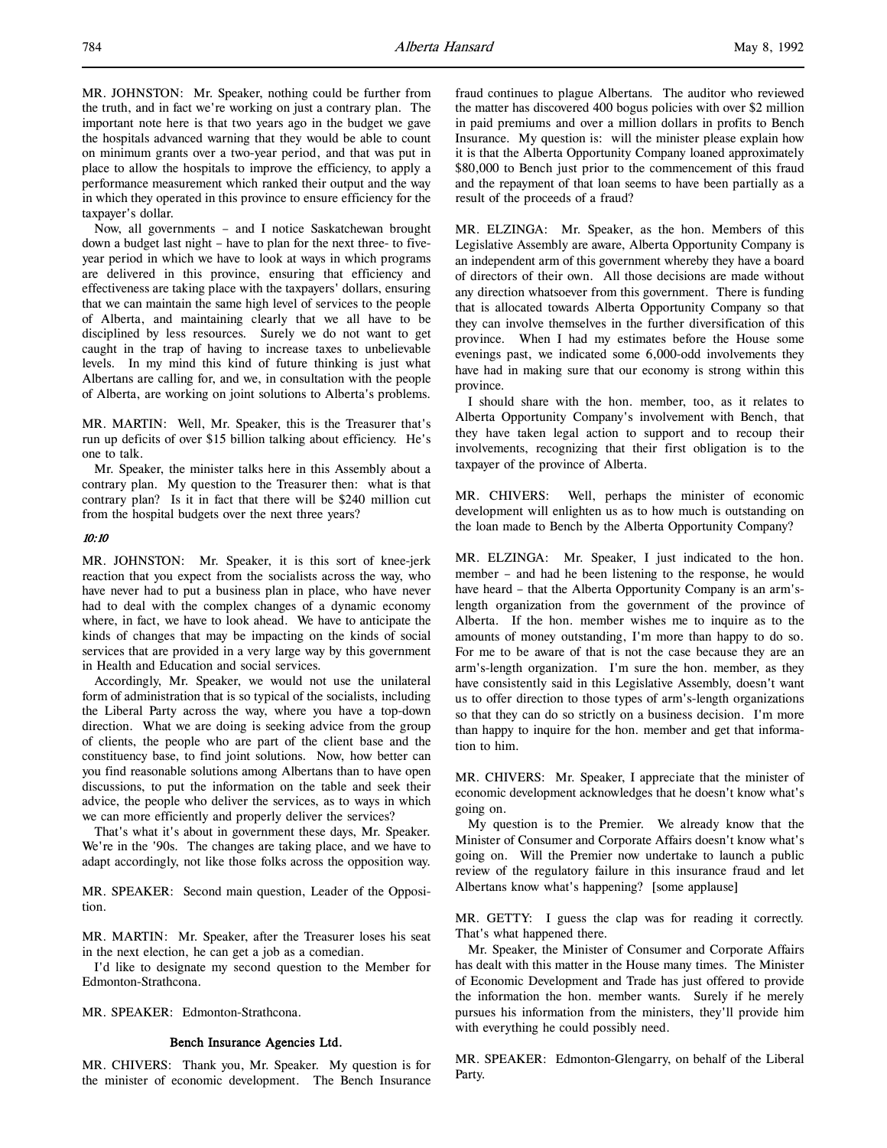Now, all governments – and I notice Saskatchewan brought down a budget last night – have to plan for the next three- to fiveyear period in which we have to look at ways in which programs are delivered in this province, ensuring that efficiency and effectiveness are taking place with the taxpayers' dollars, ensuring that we can maintain the same high level of services to the people of Alberta, and maintaining clearly that we all have to be disciplined by less resources. Surely we do not want to get caught in the trap of having to increase taxes to unbelievable levels. In my mind this kind of future thinking is just what Albertans are calling for, and we, in consultation with the people of Alberta, are working on joint solutions to Alberta's problems.

MR. MARTIN: Well, Mr. Speaker, this is the Treasurer that's run up deficits of over \$15 billion talking about efficiency. He's one to talk.

Mr. Speaker, the minister talks here in this Assembly about a contrary plan. My question to the Treasurer then: what is that contrary plan? Is it in fact that there will be \$240 million cut from the hospital budgets over the next three years?

#### 10:10

MR. JOHNSTON: Mr. Speaker, it is this sort of knee-jerk reaction that you expect from the socialists across the way, who have never had to put a business plan in place, who have never had to deal with the complex changes of a dynamic economy where, in fact, we have to look ahead. We have to anticipate the kinds of changes that may be impacting on the kinds of social services that are provided in a very large way by this government in Health and Education and social services.

Accordingly, Mr. Speaker, we would not use the unilateral form of administration that is so typical of the socialists, including the Liberal Party across the way, where you have a top-down direction. What we are doing is seeking advice from the group of clients, the people who are part of the client base and the constituency base, to find joint solutions. Now, how better can you find reasonable solutions among Albertans than to have open discussions, to put the information on the table and seek their advice, the people who deliver the services, as to ways in which we can more efficiently and properly deliver the services?

That's what it's about in government these days, Mr. Speaker. We're in the '90s. The changes are taking place, and we have to adapt accordingly, not like those folks across the opposition way.

MR. SPEAKER: Second main question, Leader of the Opposition.

MR. MARTIN: Mr. Speaker, after the Treasurer loses his seat in the next election, he can get a job as a comedian.

I'd like to designate my second question to the Member for Edmonton-Strathcona.

MR. SPEAKER: Edmonton-Strathcona.

## Bench Insurance Agencies Ltd.

MR. CHIVERS: Thank you, Mr. Speaker. My question is for the minister of economic development. The Bench Insurance

fraud continues to plague Albertans. The auditor who reviewed the matter has discovered 400 bogus policies with over \$2 million in paid premiums and over a million dollars in profits to Bench Insurance. My question is: will the minister please explain how it is that the Alberta Opportunity Company loaned approximately \$80,000 to Bench just prior to the commencement of this fraud and the repayment of that loan seems to have been partially as a result of the proceeds of a fraud?

MR. ELZINGA: Mr. Speaker, as the hon. Members of this Legislative Assembly are aware, Alberta Opportunity Company is an independent arm of this government whereby they have a board of directors of their own. All those decisions are made without any direction whatsoever from this government. There is funding that is allocated towards Alberta Opportunity Company so that they can involve themselves in the further diversification of this province. When I had my estimates before the House some evenings past, we indicated some 6,000-odd involvements they have had in making sure that our economy is strong within this province.

I should share with the hon. member, too, as it relates to Alberta Opportunity Company's involvement with Bench, that they have taken legal action to support and to recoup their involvements, recognizing that their first obligation is to the taxpayer of the province of Alberta.

MR. CHIVERS: Well, perhaps the minister of economic development will enlighten us as to how much is outstanding on the loan made to Bench by the Alberta Opportunity Company?

MR. ELZINGA: Mr. Speaker, I just indicated to the hon. member – and had he been listening to the response, he would have heard – that the Alberta Opportunity Company is an arm'slength organization from the government of the province of Alberta. If the hon. member wishes me to inquire as to the amounts of money outstanding, I'm more than happy to do so. For me to be aware of that is not the case because they are an arm's-length organization. I'm sure the hon. member, as they have consistently said in this Legislative Assembly, doesn't want us to offer direction to those types of arm's-length organizations so that they can do so strictly on a business decision. I'm more than happy to inquire for the hon. member and get that information to him.

MR. CHIVERS: Mr. Speaker, I appreciate that the minister of economic development acknowledges that he doesn't know what's going on.

My question is to the Premier. We already know that the Minister of Consumer and Corporate Affairs doesn't know what's going on. Will the Premier now undertake to launch a public review of the regulatory failure in this insurance fraud and let Albertans know what's happening? [some applause]

MR. GETTY: I guess the clap was for reading it correctly. That's what happened there.

Mr. Speaker, the Minister of Consumer and Corporate Affairs has dealt with this matter in the House many times. The Minister of Economic Development and Trade has just offered to provide the information the hon. member wants. Surely if he merely pursues his information from the ministers, they'll provide him with everything he could possibly need.

MR. SPEAKER: Edmonton-Glengarry, on behalf of the Liberal Party.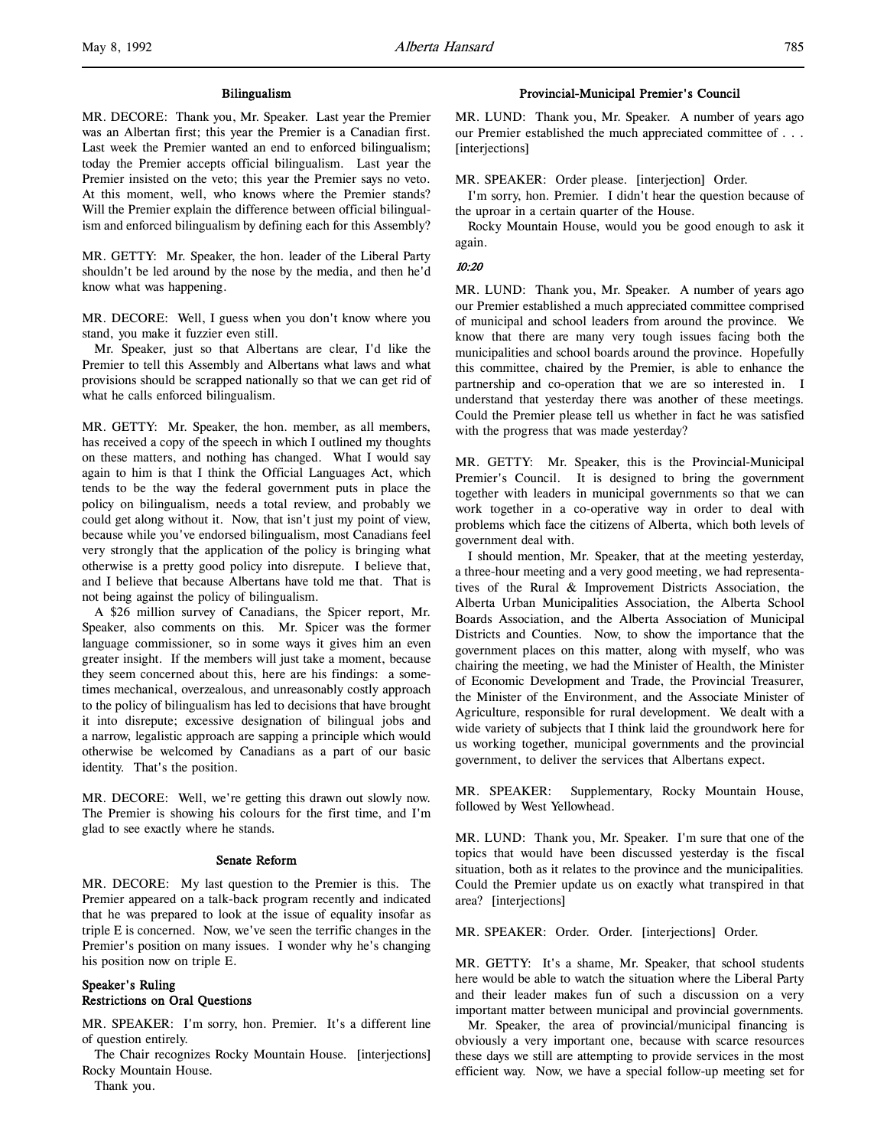MR. DECORE: Thank you, Mr. Speaker. Last year the Premier was an Albertan first; this year the Premier is a Canadian first. Last week the Premier wanted an end to enforced bilingualism; today the Premier accepts official bilingualism. Last year the Premier insisted on the veto; this year the Premier says no veto. At this moment, well, who knows where the Premier stands? Will the Premier explain the difference between official bilingualism and enforced bilingualism by defining each for this Assembly?

MR. GETTY: Mr. Speaker, the hon. leader of the Liberal Party shouldn't be led around by the nose by the media, and then he'd know what was happening.

MR. DECORE: Well, I guess when you don't know where you stand, you make it fuzzier even still.

Mr. Speaker, just so that Albertans are clear, I'd like the Premier to tell this Assembly and Albertans what laws and what provisions should be scrapped nationally so that we can get rid of what he calls enforced bilingualism.

MR. GETTY: Mr. Speaker, the hon. member, as all members, has received a copy of the speech in which I outlined my thoughts on these matters, and nothing has changed. What I would say again to him is that I think the Official Languages Act, which tends to be the way the federal government puts in place the policy on bilingualism, needs a total review, and probably we could get along without it. Now, that isn't just my point of view, because while you've endorsed bilingualism, most Canadians feel very strongly that the application of the policy is bringing what otherwise is a pretty good policy into disrepute. I believe that, and I believe that because Albertans have told me that. That is not being against the policy of bilingualism.

A \$26 million survey of Canadians, the Spicer report, Mr. Speaker, also comments on this. Mr. Spicer was the former language commissioner, so in some ways it gives him an even greater insight. If the members will just take a moment, because they seem concerned about this, here are his findings: a sometimes mechanical, overzealous, and unreasonably costly approach to the policy of bilingualism has led to decisions that have brought it into disrepute; excessive designation of bilingual jobs and a narrow, legalistic approach are sapping a principle which would otherwise be welcomed by Canadians as a part of our basic identity. That's the position.

MR. DECORE: Well, we're getting this drawn out slowly now. The Premier is showing his colours for the first time, and I'm glad to see exactly where he stands.

#### Senate Reform

MR. DECORE: My last question to the Premier is this. The Premier appeared on a talk-back program recently and indicated that he was prepared to look at the issue of equality insofar as triple E is concerned. Now, we've seen the terrific changes in the Premier's position on many issues. I wonder why he's changing his position now on triple E.

# Speaker's Ruling Restrictions on Oral Questions

MR. SPEAKER: I'm sorry, hon. Premier. It's a different line of question entirely.

The Chair recognizes Rocky Mountain House. [interjections] Rocky Mountain House. Thank you.

# Provincial-Municipal Premier's Council

MR. LUND: Thank you, Mr. Speaker. A number of years ago our Premier established the much appreciated committee of . . . [interjections]

MR. SPEAKER: Order please. [interjection] Order.

I'm sorry, hon. Premier. I didn't hear the question because of the uproar in a certain quarter of the House.

Rocky Mountain House, would you be good enough to ask it again.

#### 10:20

MR. LUND: Thank you, Mr. Speaker. A number of years ago our Premier established a much appreciated committee comprised of municipal and school leaders from around the province. We know that there are many very tough issues facing both the municipalities and school boards around the province. Hopefully this committee, chaired by the Premier, is able to enhance the partnership and co-operation that we are so interested in. I understand that yesterday there was another of these meetings. Could the Premier please tell us whether in fact he was satisfied with the progress that was made yesterday?

MR. GETTY: Mr. Speaker, this is the Provincial-Municipal Premier's Council. It is designed to bring the government together with leaders in municipal governments so that we can work together in a co-operative way in order to deal with problems which face the citizens of Alberta, which both levels of government deal with.

I should mention, Mr. Speaker, that at the meeting yesterday, a three-hour meeting and a very good meeting, we had representatives of the Rural & Improvement Districts Association, the Alberta Urban Municipalities Association, the Alberta School Boards Association, and the Alberta Association of Municipal Districts and Counties. Now, to show the importance that the government places on this matter, along with myself, who was chairing the meeting, we had the Minister of Health, the Minister of Economic Development and Trade, the Provincial Treasurer, the Minister of the Environment, and the Associate Minister of Agriculture, responsible for rural development. We dealt with a wide variety of subjects that I think laid the groundwork here for us working together, municipal governments and the provincial government, to deliver the services that Albertans expect.

MR. SPEAKER: Supplementary, Rocky Mountain House, followed by West Yellowhead.

MR. LUND: Thank you, Mr. Speaker. I'm sure that one of the topics that would have been discussed yesterday is the fiscal situation, both as it relates to the province and the municipalities. Could the Premier update us on exactly what transpired in that area? [interjections]

MR. SPEAKER: Order. Order. [interjections] Order.

MR. GETTY: It's a shame, Mr. Speaker, that school students here would be able to watch the situation where the Liberal Party and their leader makes fun of such a discussion on a very important matter between municipal and provincial governments.

Mr. Speaker, the area of provincial/municipal financing is obviously a very important one, because with scarce resources these days we still are attempting to provide services in the most efficient way. Now, we have a special follow-up meeting set for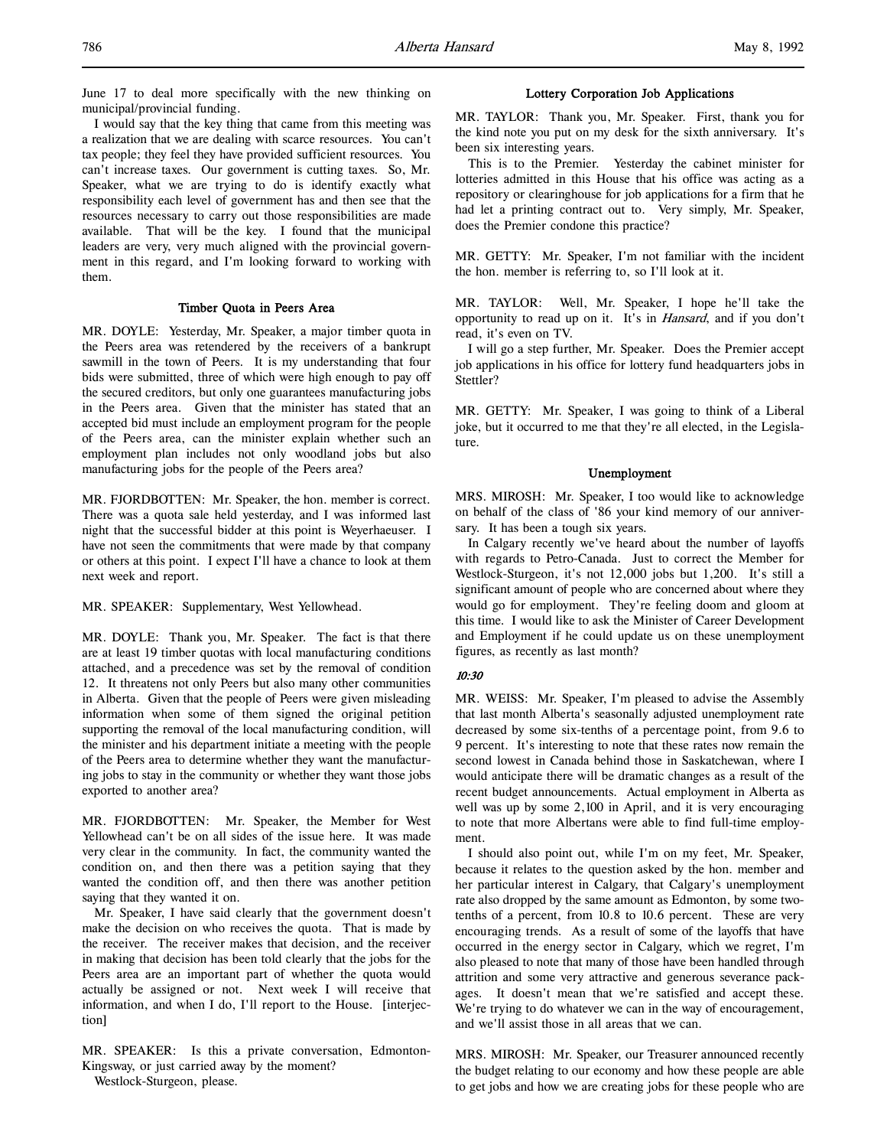June 17 to deal more specifically with the new thinking on municipal/provincial funding.

I would say that the key thing that came from this meeting was a realization that we are dealing with scarce resources. You can't tax people; they feel they have provided sufficient resources. You can't increase taxes. Our government is cutting taxes. So, Mr. Speaker, what we are trying to do is identify exactly what responsibility each level of government has and then see that the resources necessary to carry out those responsibilities are made available. That will be the key. I found that the municipal leaders are very, very much aligned with the provincial government in this regard, and I'm looking forward to working with them.

#### Timber Quota in Peers Area

MR. DOYLE: Yesterday, Mr. Speaker, a major timber quota in the Peers area was retendered by the receivers of a bankrupt sawmill in the town of Peers. It is my understanding that four bids were submitted, three of which were high enough to pay off the secured creditors, but only one guarantees manufacturing jobs in the Peers area. Given that the minister has stated that an accepted bid must include an employment program for the people of the Peers area, can the minister explain whether such an employment plan includes not only woodland jobs but also manufacturing jobs for the people of the Peers area?

MR. FJORDBOTTEN: Mr. Speaker, the hon. member is correct. There was a quota sale held yesterday, and I was informed last night that the successful bidder at this point is Weyerhaeuser. I have not seen the commitments that were made by that company or others at this point. I expect I'll have a chance to look at them next week and report.

MR. SPEAKER: Supplementary, West Yellowhead.

MR. DOYLE: Thank you, Mr. Speaker. The fact is that there are at least 19 timber quotas with local manufacturing conditions attached, and a precedence was set by the removal of condition 12. It threatens not only Peers but also many other communities in Alberta. Given that the people of Peers were given misleading information when some of them signed the original petition supporting the removal of the local manufacturing condition, will the minister and his department initiate a meeting with the people of the Peers area to determine whether they want the manufacturing jobs to stay in the community or whether they want those jobs exported to another area?

MR. FJORDBOTTEN: Mr. Speaker, the Member for West Yellowhead can't be on all sides of the issue here. It was made very clear in the community. In fact, the community wanted the condition on, and then there was a petition saying that they wanted the condition off, and then there was another petition saying that they wanted it on.

Mr. Speaker, I have said clearly that the government doesn't make the decision on who receives the quota. That is made by the receiver. The receiver makes that decision, and the receiver in making that decision has been told clearly that the jobs for the Peers area are an important part of whether the quota would actually be assigned or not. Next week I will receive that information, and when I do, I'll report to the House. [interjection]

MR. SPEAKER: Is this a private conversation, Edmonton-Kingsway, or just carried away by the moment?

Westlock-Sturgeon, please.

# Lottery Corporation Job Applications

MR. TAYLOR: Thank you, Mr. Speaker. First, thank you for the kind note you put on my desk for the sixth anniversary. It's been six interesting years.

This is to the Premier. Yesterday the cabinet minister for lotteries admitted in this House that his office was acting as a repository or clearinghouse for job applications for a firm that he had let a printing contract out to. Very simply, Mr. Speaker, does the Premier condone this practice?

MR. GETTY: Mr. Speaker, I'm not familiar with the incident the hon. member is referring to, so I'll look at it.

MR. TAYLOR: Well, Mr. Speaker, I hope he'll take the opportunity to read up on it. It's in *Hansard*, and if you don't read, it's even on TV.

I will go a step further, Mr. Speaker. Does the Premier accept job applications in his office for lottery fund headquarters jobs in Stettler?

MR. GETTY: Mr. Speaker, I was going to think of a Liberal joke, but it occurred to me that they're all elected, in the Legislature.

#### Unemployment

MRS. MIROSH: Mr. Speaker, I too would like to acknowledge on behalf of the class of '86 your kind memory of our anniversary. It has been a tough six years.

In Calgary recently we've heard about the number of layoffs with regards to Petro-Canada. Just to correct the Member for Westlock-Sturgeon, it's not 12,000 jobs but 1,200. It's still a significant amount of people who are concerned about where they would go for employment. They're feeling doom and gloom at this time. I would like to ask the Minister of Career Development and Employment if he could update us on these unemployment figures, as recently as last month?

## 10:30

MR. WEISS: Mr. Speaker, I'm pleased to advise the Assembly that last month Alberta's seasonally adjusted unemployment rate decreased by some six-tenths of a percentage point, from 9.6 to 9 percent. It's interesting to note that these rates now remain the second lowest in Canada behind those in Saskatchewan, where I would anticipate there will be dramatic changes as a result of the recent budget announcements. Actual employment in Alberta as well was up by some 2,100 in April, and it is very encouraging to note that more Albertans were able to find full-time employment.

I should also point out, while I'm on my feet, Mr. Speaker, because it relates to the question asked by the hon. member and her particular interest in Calgary, that Calgary's unemployment rate also dropped by the same amount as Edmonton, by some twotenths of a percent, from 10.8 to 10.6 percent. These are very encouraging trends. As a result of some of the layoffs that have occurred in the energy sector in Calgary, which we regret, I'm also pleased to note that many of those have been handled through attrition and some very attractive and generous severance packages. It doesn't mean that we're satisfied and accept these. We're trying to do whatever we can in the way of encouragement, and we'll assist those in all areas that we can.

MRS. MIROSH: Mr. Speaker, our Treasurer announced recently the budget relating to our economy and how these people are able to get jobs and how we are creating jobs for these people who are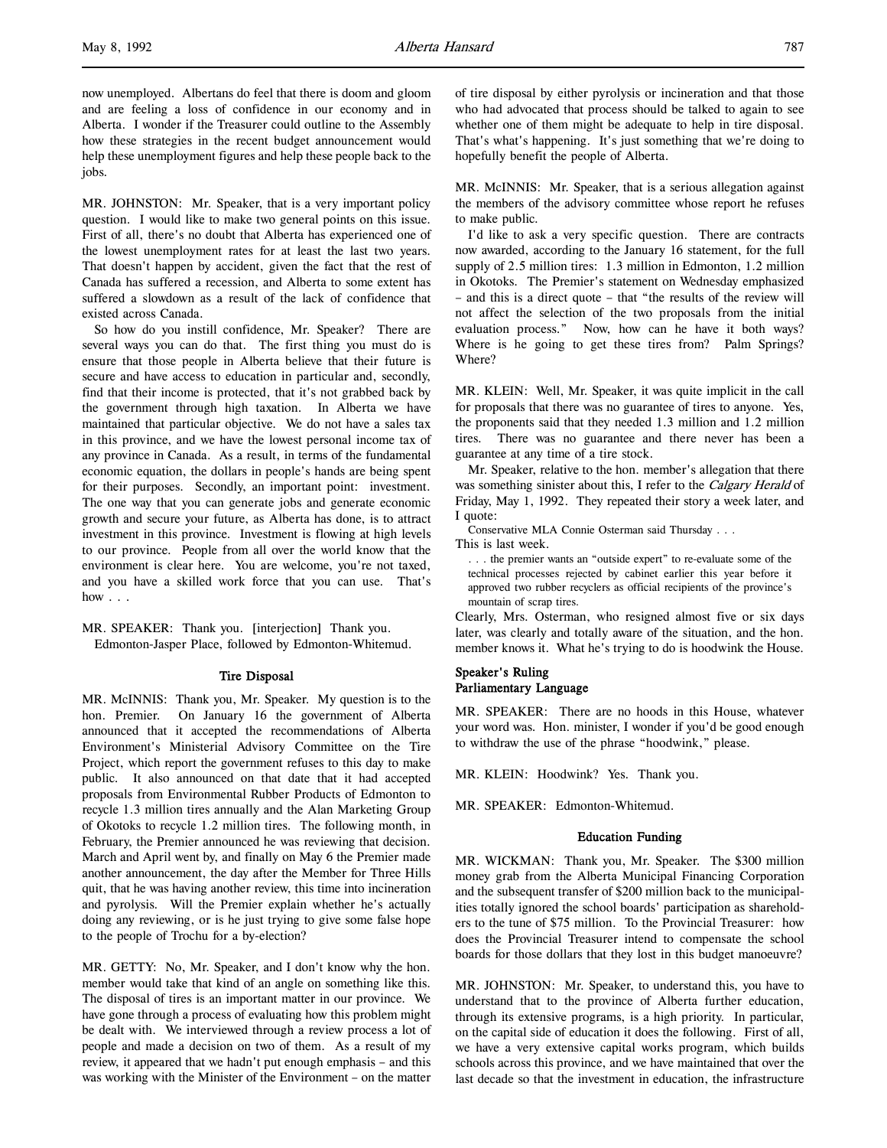now unemployed. Albertans do feel that there is doom and gloom and are feeling a loss of confidence in our economy and in Alberta. I wonder if the Treasurer could outline to the Assembly how these strategies in the recent budget announcement would help these unemployment figures and help these people back to the jobs.

MR. JOHNSTON: Mr. Speaker, that is a very important policy question. I would like to make two general points on this issue. First of all, there's no doubt that Alberta has experienced one of the lowest unemployment rates for at least the last two years. That doesn't happen by accident, given the fact that the rest of Canada has suffered a recession, and Alberta to some extent has suffered a slowdown as a result of the lack of confidence that existed across Canada.

So how do you instill confidence, Mr. Speaker? There are several ways you can do that. The first thing you must do is ensure that those people in Alberta believe that their future is secure and have access to education in particular and, secondly, find that their income is protected, that it's not grabbed back by the government through high taxation. In Alberta we have maintained that particular objective. We do not have a sales tax in this province, and we have the lowest personal income tax of any province in Canada. As a result, in terms of the fundamental economic equation, the dollars in people's hands are being spent for their purposes. Secondly, an important point: investment. The one way that you can generate jobs and generate economic growth and secure your future, as Alberta has done, is to attract investment in this province. Investment is flowing at high levels to our province. People from all over the world know that the environment is clear here. You are welcome, you're not taxed, and you have a skilled work force that you can use. That's how . . .

MR. SPEAKER: Thank you. [interjection] Thank you. Edmonton-Jasper Place, followed by Edmonton-Whitemud.

## Tire Disposal

MR. McINNIS: Thank you, Mr. Speaker. My question is to the hon. Premier. On January 16 the government of Alberta announced that it accepted the recommendations of Alberta Environment's Ministerial Advisory Committee on the Tire Project, which report the government refuses to this day to make public. It also announced on that date that it had accepted proposals from Environmental Rubber Products of Edmonton to recycle 1.3 million tires annually and the Alan Marketing Group of Okotoks to recycle 1.2 million tires. The following month, in February, the Premier announced he was reviewing that decision. March and April went by, and finally on May 6 the Premier made another announcement, the day after the Member for Three Hills quit, that he was having another review, this time into incineration and pyrolysis. Will the Premier explain whether he's actually doing any reviewing, or is he just trying to give some false hope to the people of Trochu for a by-election?

MR. GETTY: No, Mr. Speaker, and I don't know why the hon. member would take that kind of an angle on something like this. The disposal of tires is an important matter in our province. We have gone through a process of evaluating how this problem might be dealt with. We interviewed through a review process a lot of people and made a decision on two of them. As a result of my review, it appeared that we hadn't put enough emphasis – and this was working with the Minister of the Environment – on the matter

of tire disposal by either pyrolysis or incineration and that those who had advocated that process should be talked to again to see whether one of them might be adequate to help in tire disposal. That's what's happening. It's just something that we're doing to hopefully benefit the people of Alberta.

MR. McINNIS: Mr. Speaker, that is a serious allegation against the members of the advisory committee whose report he refuses to make public.

I'd like to ask a very specific question. There are contracts now awarded, according to the January 16 statement, for the full supply of 2.5 million tires: 1.3 million in Edmonton, 1.2 million in Okotoks. The Premier's statement on Wednesday emphasized – and this is a direct quote – that "the results of the review will not affect the selection of the two proposals from the initial evaluation process." Now, how can he have it both ways? Where is he going to get these tires from? Palm Springs? Where?

MR. KLEIN: Well, Mr. Speaker, it was quite implicit in the call for proposals that there was no guarantee of tires to anyone. Yes, the proponents said that they needed 1.3 million and 1.2 million tires. There was no guarantee and there never has been a guarantee at any time of a tire stock.

Mr. Speaker, relative to the hon. member's allegation that there was something sinister about this, I refer to the Calgary Herald of Friday, May 1, 1992. They repeated their story a week later, and I quote:

Conservative MLA Connie Osterman said Thursday . . . This is last week.

. . . the premier wants an "outside expert" to re-evaluate some of the technical processes rejected by cabinet earlier this year before it approved two rubber recyclers as official recipients of the province's mountain of scrap tires.

Clearly, Mrs. Osterman, who resigned almost five or six days later, was clearly and totally aware of the situation, and the hon. member knows it. What he's trying to do is hoodwink the House.

# Speaker's Ruling Parliamentary Language

MR. SPEAKER: There are no hoods in this House, whatever your word was. Hon. minister, I wonder if you'd be good enough to withdraw the use of the phrase "hoodwink," please.

MR. KLEIN: Hoodwink? Yes. Thank you.

MR. SPEAKER: Edmonton-Whitemud.

## Education Funding

MR. WICKMAN: Thank you, Mr. Speaker. The \$300 million money grab from the Alberta Municipal Financing Corporation and the subsequent transfer of \$200 million back to the municipalities totally ignored the school boards' participation as shareholders to the tune of \$75 million. To the Provincial Treasurer: how does the Provincial Treasurer intend to compensate the school boards for those dollars that they lost in this budget manoeuvre?

MR. JOHNSTON: Mr. Speaker, to understand this, you have to understand that to the province of Alberta further education, through its extensive programs, is a high priority. In particular, on the capital side of education it does the following. First of all, we have a very extensive capital works program, which builds schools across this province, and we have maintained that over the last decade so that the investment in education, the infrastructure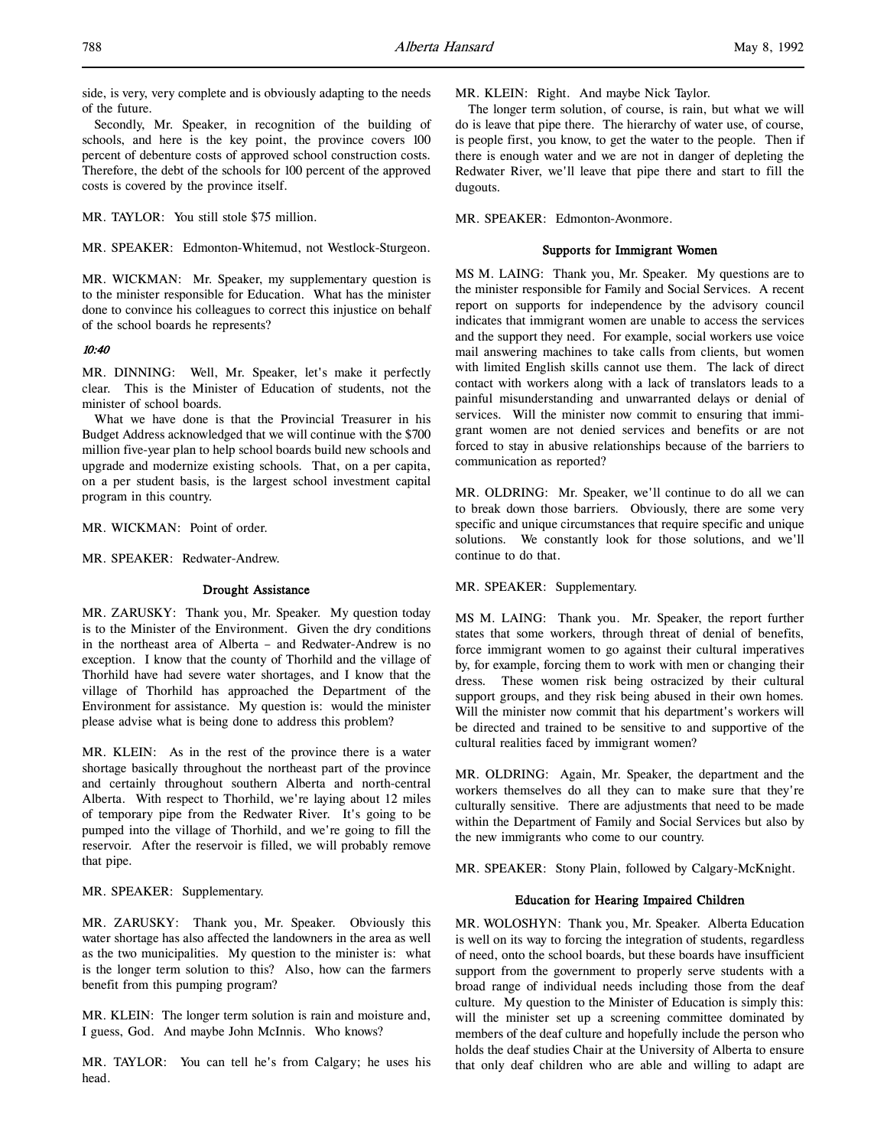side, is very, very complete and is obviously adapting to the needs of the future.

Secondly, Mr. Speaker, in recognition of the building of schools, and here is the key point, the province covers 100 percent of debenture costs of approved school construction costs. Therefore, the debt of the schools for 100 percent of the approved costs is covered by the province itself.

MR. TAYLOR: You still stole \$75 million.

MR. SPEAKER: Edmonton-Whitemud, not Westlock-Sturgeon.

MR. WICKMAN: Mr. Speaker, my supplementary question is to the minister responsible for Education. What has the minister done to convince his colleagues to correct this injustice on behalf of the school boards he represents?

## 10:40

MR. DINNING: Well, Mr. Speaker, let's make it perfectly clear. This is the Minister of Education of students, not the minister of school boards.

What we have done is that the Provincial Treasurer in his Budget Address acknowledged that we will continue with the \$700 million five-year plan to help school boards build new schools and upgrade and modernize existing schools. That, on a per capita, on a per student basis, is the largest school investment capital program in this country.

MR. WICKMAN: Point of order.

MR. SPEAKER: Redwater-Andrew.

### Drought Assistance

MR. ZARUSKY: Thank you, Mr. Speaker. My question today is to the Minister of the Environment. Given the dry conditions in the northeast area of Alberta – and Redwater-Andrew is no exception. I know that the county of Thorhild and the village of Thorhild have had severe water shortages, and I know that the village of Thorhild has approached the Department of the Environment for assistance. My question is: would the minister please advise what is being done to address this problem?

MR. KLEIN: As in the rest of the province there is a water shortage basically throughout the northeast part of the province and certainly throughout southern Alberta and north-central Alberta. With respect to Thorhild, we're laying about 12 miles of temporary pipe from the Redwater River. It's going to be pumped into the village of Thorhild, and we're going to fill the reservoir. After the reservoir is filled, we will probably remove that pipe.

MR. SPEAKER: Supplementary.

MR. ZARUSKY: Thank you, Mr. Speaker. Obviously this water shortage has also affected the landowners in the area as well as the two municipalities. My question to the minister is: what is the longer term solution to this? Also, how can the farmers benefit from this pumping program?

MR. KLEIN: The longer term solution is rain and moisture and, I guess, God. And maybe John McInnis. Who knows?

MR. TAYLOR: You can tell he's from Calgary; he uses his head.

MR. KLEIN: Right. And maybe Nick Taylor.

The longer term solution, of course, is rain, but what we will do is leave that pipe there. The hierarchy of water use, of course, is people first, you know, to get the water to the people. Then if there is enough water and we are not in danger of depleting the Redwater River, we'll leave that pipe there and start to fill the dugouts.

MR. SPEAKER: Edmonton-Avonmore.

## Supports for Immigrant Women

MS M. LAING: Thank you, Mr. Speaker. My questions are to the minister responsible for Family and Social Services. A recent report on supports for independence by the advisory council indicates that immigrant women are unable to access the services and the support they need. For example, social workers use voice mail answering machines to take calls from clients, but women with limited English skills cannot use them. The lack of direct contact with workers along with a lack of translators leads to a painful misunderstanding and unwarranted delays or denial of services. Will the minister now commit to ensuring that immigrant women are not denied services and benefits or are not forced to stay in abusive relationships because of the barriers to communication as reported?

MR. OLDRING: Mr. Speaker, we'll continue to do all we can to break down those barriers. Obviously, there are some very specific and unique circumstances that require specific and unique solutions. We constantly look for those solutions, and we'll continue to do that.

MR. SPEAKER: Supplementary.

MS M. LAING: Thank you. Mr. Speaker, the report further states that some workers, through threat of denial of benefits, force immigrant women to go against their cultural imperatives by, for example, forcing them to work with men or changing their dress. These women risk being ostracized by their cultural support groups, and they risk being abused in their own homes. Will the minister now commit that his department's workers will be directed and trained to be sensitive to and supportive of the cultural realities faced by immigrant women?

MR. OLDRING: Again, Mr. Speaker, the department and the workers themselves do all they can to make sure that they're culturally sensitive. There are adjustments that need to be made within the Department of Family and Social Services but also by the new immigrants who come to our country.

MR. SPEAKER: Stony Plain, followed by Calgary-McKnight.

# Education for Hearing Impaired Children

MR. WOLOSHYN: Thank you, Mr. Speaker. Alberta Education is well on its way to forcing the integration of students, regardless of need, onto the school boards, but these boards have insufficient support from the government to properly serve students with a broad range of individual needs including those from the deaf culture. My question to the Minister of Education is simply this: will the minister set up a screening committee dominated by members of the deaf culture and hopefully include the person who holds the deaf studies Chair at the University of Alberta to ensure that only deaf children who are able and willing to adapt are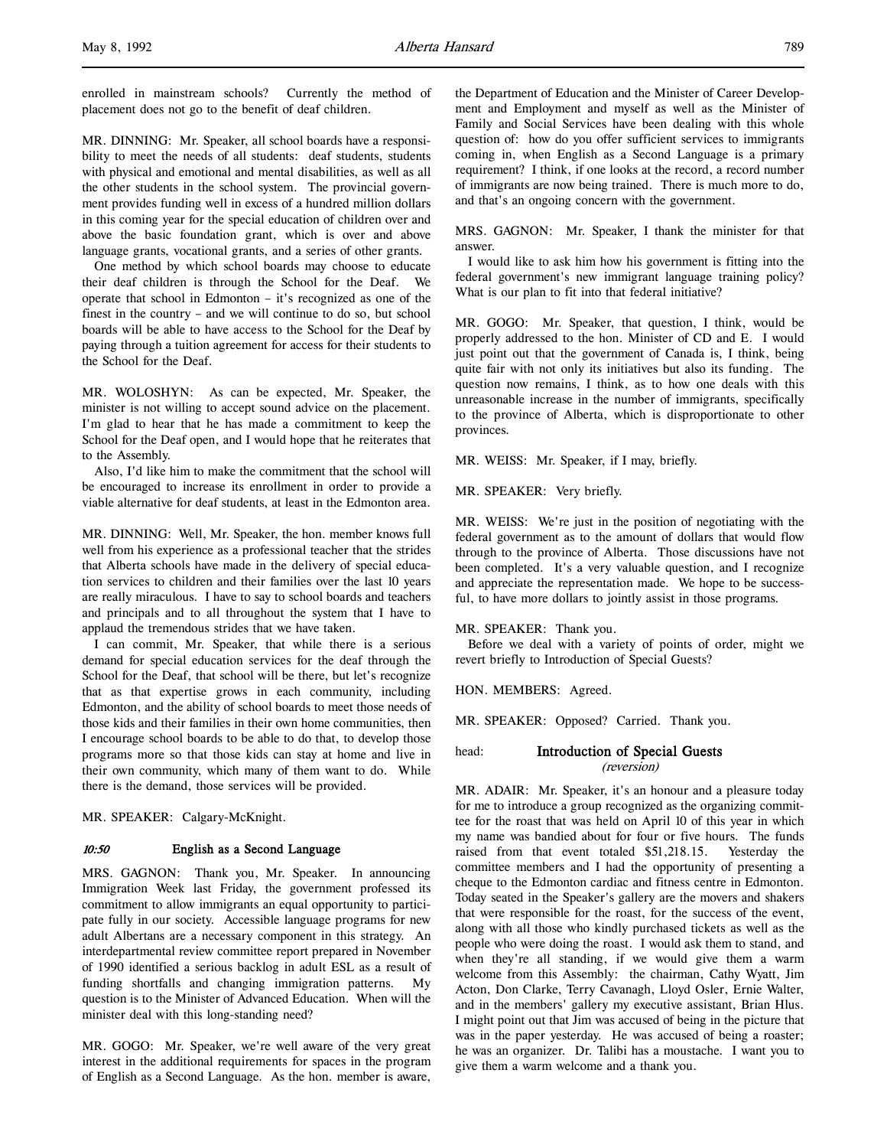enrolled in mainstream schools? Currently the method of placement does not go to the benefit of deaf children.

MR. DINNING: Mr. Speaker, all school boards have a responsibility to meet the needs of all students: deaf students, students with physical and emotional and mental disabilities, as well as all the other students in the school system. The provincial government provides funding well in excess of a hundred million dollars in this coming year for the special education of children over and above the basic foundation grant, which is over and above language grants, vocational grants, and a series of other grants.

One method by which school boards may choose to educate their deaf children is through the School for the Deaf. We operate that school in Edmonton – it's recognized as one of the finest in the country – and we will continue to do so, but school boards will be able to have access to the School for the Deaf by paying through a tuition agreement for access for their students to the School for the Deaf.

MR. WOLOSHYN: As can be expected, Mr. Speaker, the minister is not willing to accept sound advice on the placement. I'm glad to hear that he has made a commitment to keep the School for the Deaf open, and I would hope that he reiterates that to the Assembly.

Also, I'd like him to make the commitment that the school will be encouraged to increase its enrollment in order to provide a viable alternative for deaf students, at least in the Edmonton area.

MR. DINNING: Well, Mr. Speaker, the hon. member knows full well from his experience as a professional teacher that the strides that Alberta schools have made in the delivery of special education services to children and their families over the last 10 years are really miraculous. I have to say to school boards and teachers and principals and to all throughout the system that I have to applaud the tremendous strides that we have taken.

I can commit, Mr. Speaker, that while there is a serious demand for special education services for the deaf through the School for the Deaf, that school will be there, but let's recognize that as that expertise grows in each community, including Edmonton, and the ability of school boards to meet those needs of those kids and their families in their own home communities, then I encourage school boards to be able to do that, to develop those programs more so that those kids can stay at home and live in their own community, which many of them want to do. While there is the demand, those services will be provided.

MR. SPEAKER: Calgary-McKnight.

#### 10:50 English as a Second Language

MRS. GAGNON: Thank you, Mr. Speaker. In announcing Immigration Week last Friday, the government professed its commitment to allow immigrants an equal opportunity to participate fully in our society. Accessible language programs for new adult Albertans are a necessary component in this strategy. An interdepartmental review committee report prepared in November of 1990 identified a serious backlog in adult ESL as a result of funding shortfalls and changing immigration patterns. My question is to the Minister of Advanced Education. When will the minister deal with this long-standing need?

MR. GOGO: Mr. Speaker, we're well aware of the very great interest in the additional requirements for spaces in the program of English as a Second Language. As the hon. member is aware,

the Department of Education and the Minister of Career Development and Employment and myself as well as the Minister of Family and Social Services have been dealing with this whole question of: how do you offer sufficient services to immigrants coming in, when English as a Second Language is a primary requirement? I think, if one looks at the record, a record number of immigrants are now being trained. There is much more to do, and that's an ongoing concern with the government.

MRS. GAGNON: Mr. Speaker, I thank the minister for that answer.

I would like to ask him how his government is fitting into the federal government's new immigrant language training policy? What is our plan to fit into that federal initiative?

MR. GOGO: Mr. Speaker, that question, I think, would be properly addressed to the hon. Minister of CD and E. I would just point out that the government of Canada is, I think, being quite fair with not only its initiatives but also its funding. The question now remains, I think, as to how one deals with this unreasonable increase in the number of immigrants, specifically to the province of Alberta, which is disproportionate to other provinces.

MR. WEISS: Mr. Speaker, if I may, briefly.

MR. SPEAKER: Very briefly.

MR. WEISS: We're just in the position of negotiating with the federal government as to the amount of dollars that would flow through to the province of Alberta. Those discussions have not been completed. It's a very valuable question, and I recognize and appreciate the representation made. We hope to be successful, to have more dollars to jointly assist in those programs.

## MR. SPEAKER: Thank you.

Before we deal with a variety of points of order, might we revert briefly to Introduction of Special Guests?

HON. MEMBERS: Agreed.

MR. SPEAKER: Opposed? Carried. Thank you.

# head: Introduction of Special Guests (reversion)

MR. ADAIR: Mr. Speaker, it's an honour and a pleasure today for me to introduce a group recognized as the organizing committee for the roast that was held on April 10 of this year in which my name was bandied about for four or five hours. The funds raised from that event totaled \$51,218.15. Yesterday the committee members and I had the opportunity of presenting a cheque to the Edmonton cardiac and fitness centre in Edmonton. Today seated in the Speaker's gallery are the movers and shakers that were responsible for the roast, for the success of the event, along with all those who kindly purchased tickets as well as the people who were doing the roast. I would ask them to stand, and when they're all standing, if we would give them a warm welcome from this Assembly: the chairman, Cathy Wyatt, Jim Acton, Don Clarke, Terry Cavanagh, Lloyd Osler, Ernie Walter, and in the members' gallery my executive assistant, Brian Hlus. I might point out that Jim was accused of being in the picture that was in the paper yesterday. He was accused of being a roaster; he was an organizer. Dr. Talibi has a moustache. I want you to give them a warm welcome and a thank you.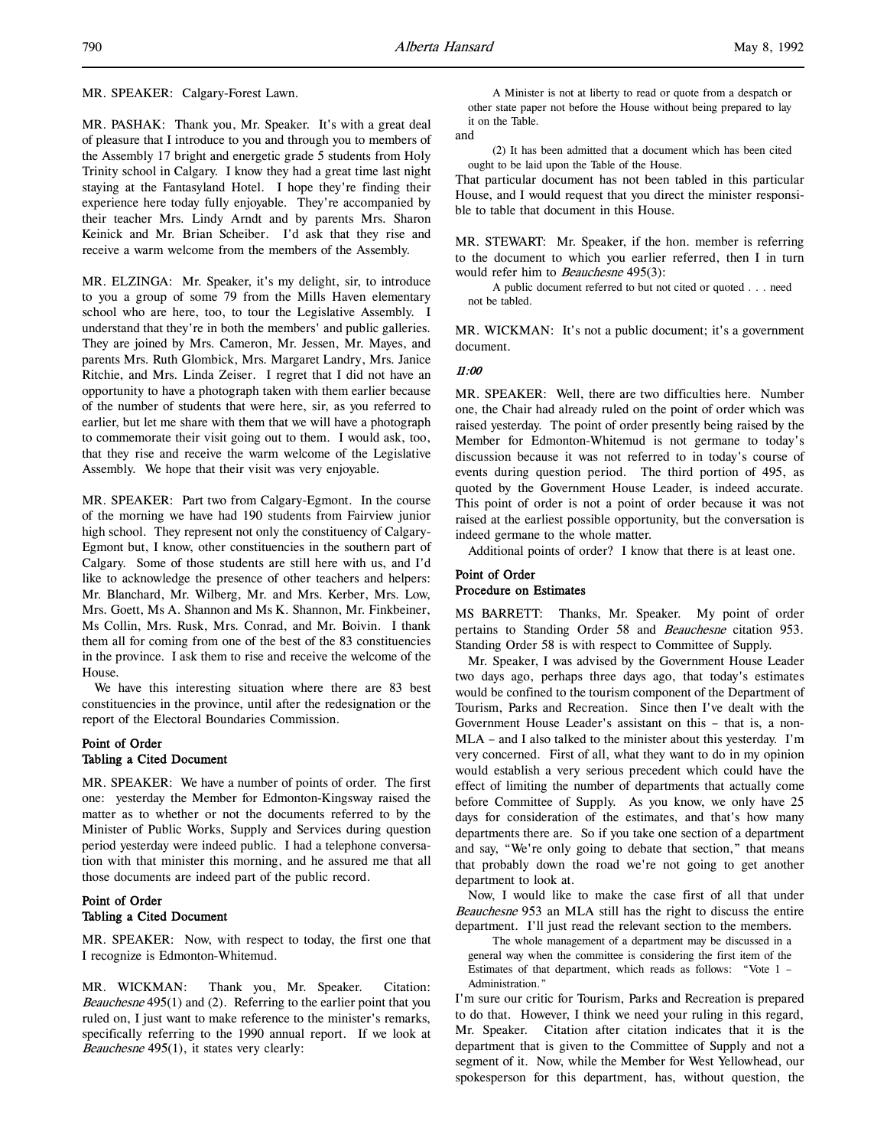MR. SPEAKER: Calgary-Forest Lawn.

MR. PASHAK: Thank you, Mr. Speaker. It's with a great deal of pleasure that I introduce to you and through you to members of the Assembly 17 bright and energetic grade 5 students from Holy Trinity school in Calgary. I know they had a great time last night staying at the Fantasyland Hotel. I hope they're finding their experience here today fully enjoyable. They're accompanied by their teacher Mrs. Lindy Arndt and by parents Mrs. Sharon Keinick and Mr. Brian Scheiber. I'd ask that they rise and receive a warm welcome from the members of the Assembly.

MR. ELZINGA: Mr. Speaker, it's my delight, sir, to introduce to you a group of some 79 from the Mills Haven elementary school who are here, too, to tour the Legislative Assembly. I understand that they're in both the members' and public galleries. They are joined by Mrs. Cameron, Mr. Jessen, Mr. Mayes, and parents Mrs. Ruth Glombick, Mrs. Margaret Landry, Mrs. Janice Ritchie, and Mrs. Linda Zeiser. I regret that I did not have an opportunity to have a photograph taken with them earlier because of the number of students that were here, sir, as you referred to earlier, but let me share with them that we will have a photograph to commemorate their visit going out to them. I would ask, too, that they rise and receive the warm welcome of the Legislative Assembly. We hope that their visit was very enjoyable.

MR. SPEAKER: Part two from Calgary-Egmont. In the course of the morning we have had 190 students from Fairview junior high school. They represent not only the constituency of Calgary-Egmont but, I know, other constituencies in the southern part of Calgary. Some of those students are still here with us, and I'd like to acknowledge the presence of other teachers and helpers: Mr. Blanchard, Mr. Wilberg, Mr. and Mrs. Kerber, Mrs. Low, Mrs. Goett, Ms A. Shannon and Ms K. Shannon, Mr. Finkbeiner, Ms Collin, Mrs. Rusk, Mrs. Conrad, and Mr. Boivin. I thank them all for coming from one of the best of the 83 constituencies in the province. I ask them to rise and receive the welcome of the House.

We have this interesting situation where there are 83 best constituencies in the province, until after the redesignation or the report of the Electoral Boundaries Commission.

# Point of Order Tabling a Cited Document

MR. SPEAKER: We have a number of points of order. The first one: yesterday the Member for Edmonton-Kingsway raised the matter as to whether or not the documents referred to by the Minister of Public Works, Supply and Services during question period yesterday were indeed public. I had a telephone conversation with that minister this morning, and he assured me that all those documents are indeed part of the public record.

# Point of Order Tabling a Cited Document

MR. SPEAKER: Now, with respect to today, the first one that I recognize is Edmonton-Whitemud.

MR. WICKMAN: Thank you, Mr. Speaker. Citation: Beauchesne 495(1) and (2). Referring to the earlier point that you ruled on, I just want to make reference to the minister's remarks, specifically referring to the 1990 annual report. If we look at Beauchesne 495(1), it states very clearly:

A Minister is not at liberty to read or quote from a despatch or other state paper not before the House without being prepared to lay it on the Table.

and

(2) It has been admitted that a document which has been cited ought to be laid upon the Table of the House.

That particular document has not been tabled in this particular House, and I would request that you direct the minister responsible to table that document in this House.

MR. STEWART: Mr. Speaker, if the hon. member is referring to the document to which you earlier referred, then I in turn would refer him to *Beauchesne* 495(3):

A public document referred to but not cited or quoted . . . need not be tabled.

MR. WICKMAN: It's not a public document; it's a government document.

# 11:00

MR. SPEAKER: Well, there are two difficulties here. Number one, the Chair had already ruled on the point of order which was raised yesterday. The point of order presently being raised by the Member for Edmonton-Whitemud is not germane to today's discussion because it was not referred to in today's course of events during question period. The third portion of 495, as quoted by the Government House Leader, is indeed accurate. This point of order is not a point of order because it was not raised at the earliest possible opportunity, but the conversation is indeed germane to the whole matter.

Additional points of order? I know that there is at least one.

# Point of Order Procedure on Estimates

MS BARRETT: Thanks, Mr. Speaker. My point of order pertains to Standing Order 58 and Beauchesne citation 953. Standing Order 58 is with respect to Committee of Supply.

Mr. Speaker, I was advised by the Government House Leader two days ago, perhaps three days ago, that today's estimates would be confined to the tourism component of the Department of Tourism, Parks and Recreation. Since then I've dealt with the Government House Leader's assistant on this – that is, a non-MLA – and I also talked to the minister about this yesterday. I'm very concerned. First of all, what they want to do in my opinion would establish a very serious precedent which could have the effect of limiting the number of departments that actually come before Committee of Supply. As you know, we only have 25 days for consideration of the estimates, and that's how many departments there are. So if you take one section of a department and say, "We're only going to debate that section," that means that probably down the road we're not going to get another department to look at.

Now, I would like to make the case first of all that under Beauchesne 953 an MLA still has the right to discuss the entire department. I'll just read the relevant section to the members.

The whole management of a department may be discussed in a general way when the committee is considering the first item of the Estimates of that department, which reads as follows: "Vote 1 – Administration."

I'm sure our critic for Tourism, Parks and Recreation is prepared to do that. However, I think we need your ruling in this regard, Mr. Speaker. Citation after citation indicates that it is the department that is given to the Committee of Supply and not a segment of it. Now, while the Member for West Yellowhead, our spokesperson for this department, has, without question, the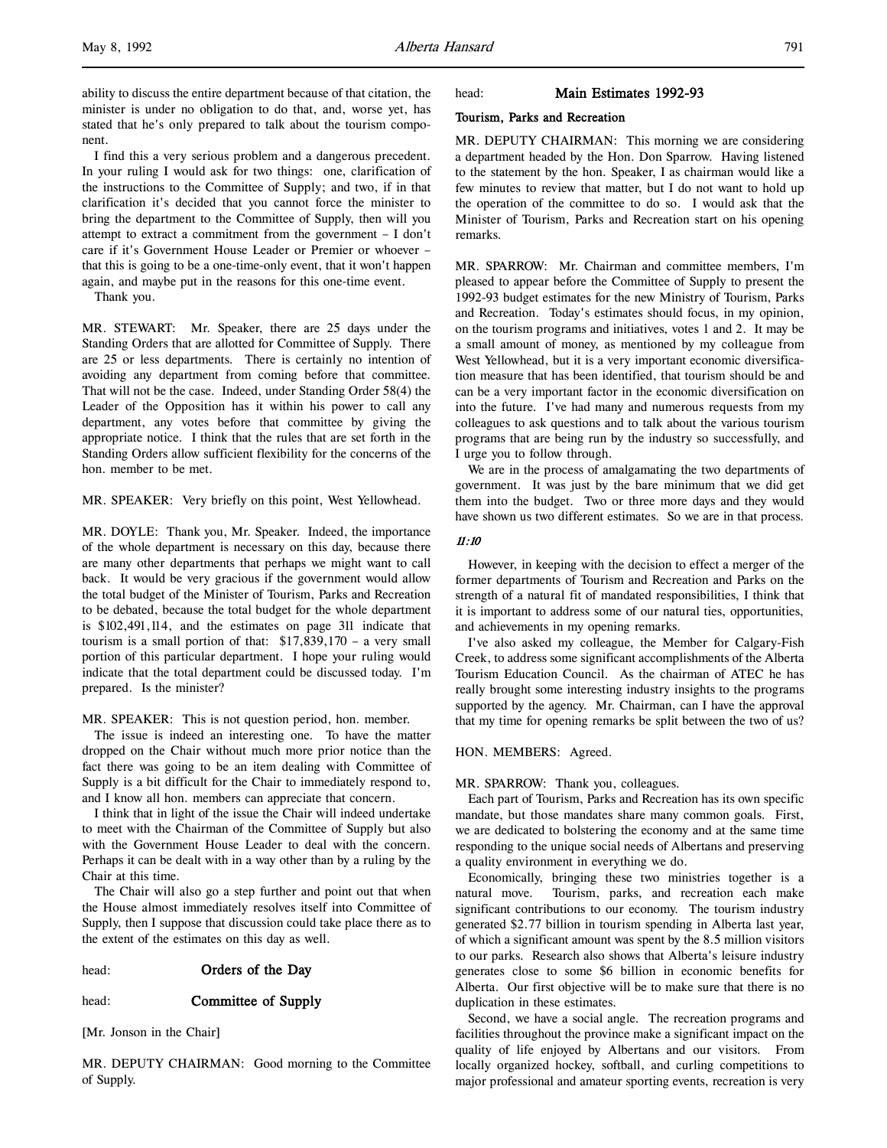ability to discuss the entire department because of that citation, the minister is under no obligation to do that, and, worse yet, has stated that he's only prepared to talk about the tourism component.

I find this a very serious problem and a dangerous precedent. In your ruling I would ask for two things: one, clarification of the instructions to the Committee of Supply; and two, if in that clarification it's decided that you cannot force the minister to bring the department to the Committee of Supply, then will you attempt to extract a commitment from the government – I don't care if it's Government House Leader or Premier or whoever – that this is going to be a one-time-only event, that it won't happen again, and maybe put in the reasons for this one-time event.

Thank you.

MR. STEWART: Mr. Speaker, there are 25 days under the Standing Orders that are allotted for Committee of Supply. There are 25 or less departments. There is certainly no intention of avoiding any department from coming before that committee. That will not be the case. Indeed, under Standing Order 58(4) the Leader of the Opposition has it within his power to call any department, any votes before that committee by giving the appropriate notice. I think that the rules that are set forth in the Standing Orders allow sufficient flexibility for the concerns of the hon. member to be met.

MR. SPEAKER: Very briefly on this point, West Yellowhead.

MR. DOYLE: Thank you, Mr. Speaker. Indeed, the importance of the whole department is necessary on this day, because there are many other departments that perhaps we might want to call back. It would be very gracious if the government would allow the total budget of the Minister of Tourism, Parks and Recreation to be debated, because the total budget for the whole department is \$102,491,114, and the estimates on page 311 indicate that tourism is a small portion of that: \$17,839,170 – a very small portion of this particular department. I hope your ruling would indicate that the total department could be discussed today. I'm prepared. Is the minister?

MR. SPEAKER: This is not question period, hon. member.

The issue is indeed an interesting one. To have the matter dropped on the Chair without much more prior notice than the fact there was going to be an item dealing with Committee of Supply is a bit difficult for the Chair to immediately respond to, and I know all hon. members can appreciate that concern.

I think that in light of the issue the Chair will indeed undertake to meet with the Chairman of the Committee of Supply but also with the Government House Leader to deal with the concern. Perhaps it can be dealt with in a way other than by a ruling by the Chair at this time.

The Chair will also go a step further and point out that when the House almost immediately resolves itself into Committee of Supply, then I suppose that discussion could take place there as to the extent of the estimates on this day as well.

## head: **Orders of the Day**

#### head: **Committee of Supply**

[Mr. Jonson in the Chair]

MR. DEPUTY CHAIRMAN: Good morning to the Committee of Supply.

#### head: Main Estimates 1992-93

## Tourism, Parks and Recreation

MR. DEPUTY CHAIRMAN: This morning we are considering a department headed by the Hon. Don Sparrow. Having listened to the statement by the hon. Speaker, I as chairman would like a few minutes to review that matter, but I do not want to hold up the operation of the committee to do so. I would ask that the Minister of Tourism, Parks and Recreation start on his opening remarks.

MR. SPARROW: Mr. Chairman and committee members, I'm pleased to appear before the Committee of Supply to present the 1992-93 budget estimates for the new Ministry of Tourism, Parks and Recreation. Today's estimates should focus, in my opinion, on the tourism programs and initiatives, votes 1 and 2. It may be a small amount of money, as mentioned by my colleague from West Yellowhead, but it is a very important economic diversification measure that has been identified, that tourism should be and can be a very important factor in the economic diversification on into the future. I've had many and numerous requests from my colleagues to ask questions and to talk about the various tourism programs that are being run by the industry so successfully, and I urge you to follow through.

We are in the process of amalgamating the two departments of government. It was just by the bare minimum that we did get them into the budget. Two or three more days and they would have shown us two different estimates. So we are in that process.

# 11:10

However, in keeping with the decision to effect a merger of the former departments of Tourism and Recreation and Parks on the strength of a natural fit of mandated responsibilities, I think that it is important to address some of our natural ties, opportunities, and achievements in my opening remarks.

I've also asked my colleague, the Member for Calgary-Fish Creek, to address some significant accomplishments of the Alberta Tourism Education Council. As the chairman of ATEC he has really brought some interesting industry insights to the programs supported by the agency. Mr. Chairman, can I have the approval that my time for opening remarks be split between the two of us?

### HON. MEMBERS: Agreed.

#### MR. SPARROW: Thank you, colleagues.

Each part of Tourism, Parks and Recreation has its own specific mandate, but those mandates share many common goals. First, we are dedicated to bolstering the economy and at the same time responding to the unique social needs of Albertans and preserving a quality environment in everything we do.

Economically, bringing these two ministries together is a natural move. Tourism, parks, and recreation each make significant contributions to our economy. The tourism industry generated \$2.77 billion in tourism spending in Alberta last year, of which a significant amount was spent by the 8.5 million visitors to our parks. Research also shows that Alberta's leisure industry generates close to some \$6 billion in economic benefits for Alberta. Our first objective will be to make sure that there is no duplication in these estimates.

Second, we have a social angle. The recreation programs and facilities throughout the province make a significant impact on the quality of life enjoyed by Albertans and our visitors. From locally organized hockey, softball, and curling competitions to major professional and amateur sporting events, recreation is very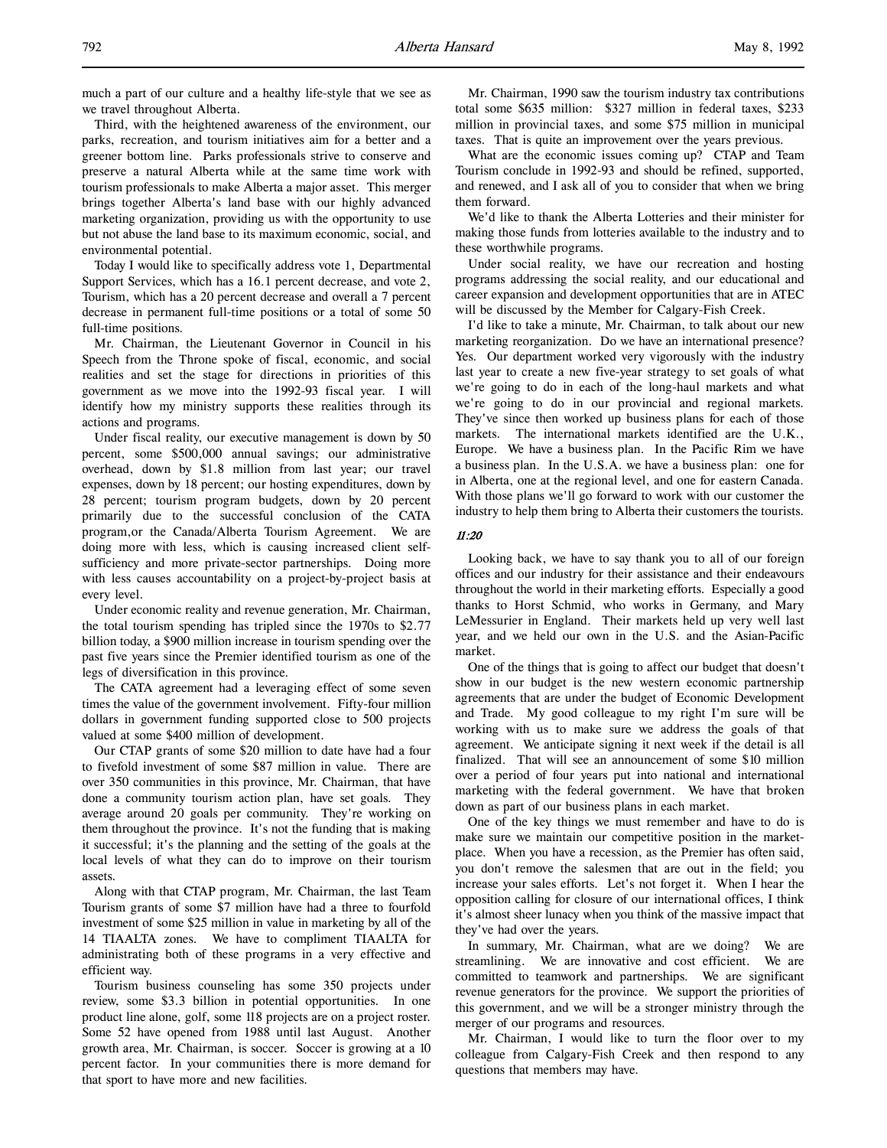much a part of our culture and a healthy life-style that we see as we travel throughout Alberta.

Third, with the heightened awareness of the environment, our parks, recreation, and tourism initiatives aim for a better and a greener bottom line. Parks professionals strive to conserve and preserve a natural Alberta while at the same time work with tourism professionals to make Alberta a major asset. This merger brings together Alberta's land base with our highly advanced marketing organization, providing us with the opportunity to use but not abuse the land base to its maximum economic, social, and environmental potential.

Today I would like to specifically address vote 1, Departmental Support Services, which has a 16.1 percent decrease, and vote 2, Tourism, which has a 20 percent decrease and overall a 7 percent decrease in permanent full-time positions or a total of some 50 full-time positions.

Mr. Chairman, the Lieutenant Governor in Council in his Speech from the Throne spoke of fiscal, economic, and social realities and set the stage for directions in priorities of this government as we move into the 1992-93 fiscal year. I will identify how my ministry supports these realities through its actions and programs.

Under fiscal reality, our executive management is down by 50 percent, some \$500,000 annual savings; our administrative overhead, down by \$1.8 million from last year; our travel expenses, down by 18 percent; our hosting expenditures, down by 28 percent; tourism program budgets, down by 20 percent primarily due to the successful conclusion of the CATA program,or the Canada/Alberta Tourism Agreement. We are doing more with less, which is causing increased client selfsufficiency and more private-sector partnerships. Doing more with less causes accountability on a project-by-project basis at every level.

Under economic reality and revenue generation, Mr. Chairman, the total tourism spending has tripled since the 1970s to \$2.77 billion today, a \$900 million increase in tourism spending over the past five years since the Premier identified tourism as one of the legs of diversification in this province.

The CATA agreement had a leveraging effect of some seven times the value of the government involvement. Fifty-four million dollars in government funding supported close to 500 projects valued at some \$400 million of development.

Our CTAP grants of some \$20 million to date have had a four to fivefold investment of some \$87 million in value. There are over 350 communities in this province, Mr. Chairman, that have done a community tourism action plan, have set goals. They average around 20 goals per community. They're working on them throughout the province. It's not the funding that is making it successful; it's the planning and the setting of the goals at the local levels of what they can do to improve on their tourism assets.

Along with that CTAP program, Mr. Chairman, the last Team Tourism grants of some \$7 million have had a three to fourfold investment of some \$25 million in value in marketing by all of the 14 TIAALTA zones. We have to compliment TIAALTA for administrating both of these programs in a very effective and efficient way.

Tourism business counseling has some 350 projects under review, some \$3.3 billion in potential opportunities. In one product line alone, golf, some 118 projects are on a project roster. Some 52 have opened from 1988 until last August. Another growth area, Mr. Chairman, is soccer. Soccer is growing at a 10 percent factor. In your communities there is more demand for that sport to have more and new facilities.

Mr. Chairman, 1990 saw the tourism industry tax contributions total some \$635 million: \$327 million in federal taxes, \$233 million in provincial taxes, and some \$75 million in municipal taxes. That is quite an improvement over the years previous.

What are the economic issues coming up? CTAP and Team Tourism conclude in 1992-93 and should be refined, supported, and renewed, and I ask all of you to consider that when we bring them forward.

We'd like to thank the Alberta Lotteries and their minister for making those funds from lotteries available to the industry and to these worthwhile programs.

Under social reality, we have our recreation and hosting programs addressing the social reality, and our educational and career expansion and development opportunities that are in ATEC will be discussed by the Member for Calgary-Fish Creek.

I'd like to take a minute, Mr. Chairman, to talk about our new marketing reorganization. Do we have an international presence? Yes. Our department worked very vigorously with the industry last year to create a new five-year strategy to set goals of what we're going to do in each of the long-haul markets and what we're going to do in our provincial and regional markets. They've since then worked up business plans for each of those markets. The international markets identified are the U.K., Europe. We have a business plan. In the Pacific Rim we have a business plan. In the U.S.A. we have a business plan: one for in Alberta, one at the regional level, and one for eastern Canada. With those plans we'll go forward to work with our customer the industry to help them bring to Alberta their customers the tourists.

#### 11:20

Looking back, we have to say thank you to all of our foreign offices and our industry for their assistance and their endeavours throughout the world in their marketing efforts. Especially a good thanks to Horst Schmid, who works in Germany, and Mary LeMessurier in England. Their markets held up very well last year, and we held our own in the U.S. and the Asian-Pacific market.

One of the things that is going to affect our budget that doesn't show in our budget is the new western economic partnership agreements that are under the budget of Economic Development and Trade. My good colleague to my right I'm sure will be working with us to make sure we address the goals of that agreement. We anticipate signing it next week if the detail is all finalized. That will see an announcement of some \$10 million over a period of four years put into national and international marketing with the federal government. We have that broken down as part of our business plans in each market.

One of the key things we must remember and have to do is make sure we maintain our competitive position in the marketplace. When you have a recession, as the Premier has often said, you don't remove the salesmen that are out in the field; you increase your sales efforts. Let's not forget it. When I hear the opposition calling for closure of our international offices, I think it's almost sheer lunacy when you think of the massive impact that they've had over the years.

In summary, Mr. Chairman, what are we doing? We are streamlining. We are innovative and cost efficient. We are committed to teamwork and partnerships. We are significant revenue generators for the province. We support the priorities of this government, and we will be a stronger ministry through the merger of our programs and resources.

Mr. Chairman, I would like to turn the floor over to my colleague from Calgary-Fish Creek and then respond to any questions that members may have.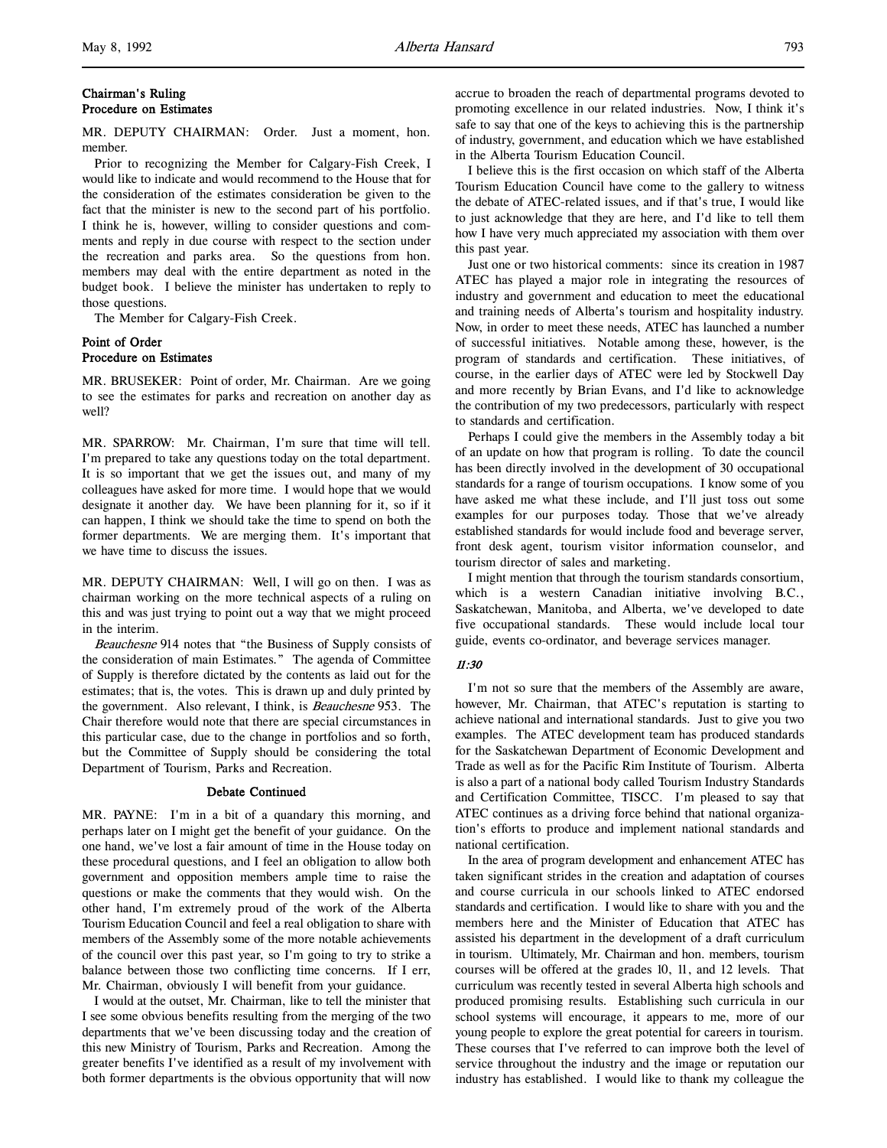# Chairman's Ruling Procedure on Estimates

MR. DEPUTY CHAIRMAN: Order. Just a moment, hon. member.

Prior to recognizing the Member for Calgary-Fish Creek, I would like to indicate and would recommend to the House that for the consideration of the estimates consideration be given to the fact that the minister is new to the second part of his portfolio. I think he is, however, willing to consider questions and comments and reply in due course with respect to the section under the recreation and parks area. So the questions from hon. members may deal with the entire department as noted in the budget book. I believe the minister has undertaken to reply to those questions.

The Member for Calgary-Fish Creek.

# Point of Order Procedure on Estimates

MR. BRUSEKER: Point of order, Mr. Chairman. Are we going to see the estimates for parks and recreation on another day as well?

MR. SPARROW: Mr. Chairman, I'm sure that time will tell. I'm prepared to take any questions today on the total department. It is so important that we get the issues out, and many of my colleagues have asked for more time. I would hope that we would designate it another day. We have been planning for it, so if it can happen, I think we should take the time to spend on both the former departments. We are merging them. It's important that we have time to discuss the issues.

MR. DEPUTY CHAIRMAN: Well, I will go on then. I was as chairman working on the more technical aspects of a ruling on this and was just trying to point out a way that we might proceed in the interim.

Beauchesne 914 notes that "the Business of Supply consists of the consideration of main Estimates." The agenda of Committee of Supply is therefore dictated by the contents as laid out for the estimates; that is, the votes. This is drawn up and duly printed by the government. Also relevant, I think, is Beauchesne 953. The Chair therefore would note that there are special circumstances in this particular case, due to the change in portfolios and so forth, but the Committee of Supply should be considering the total Department of Tourism, Parks and Recreation.

# Debate Continued

MR. PAYNE: I'm in a bit of a quandary this morning, and perhaps later on I might get the benefit of your guidance. On the one hand, we've lost a fair amount of time in the House today on these procedural questions, and I feel an obligation to allow both government and opposition members ample time to raise the questions or make the comments that they would wish. On the other hand, I'm extremely proud of the work of the Alberta Tourism Education Council and feel a real obligation to share with members of the Assembly some of the more notable achievements of the council over this past year, so I'm going to try to strike a balance between those two conflicting time concerns. If I err, Mr. Chairman, obviously I will benefit from your guidance.

I would at the outset, Mr. Chairman, like to tell the minister that I see some obvious benefits resulting from the merging of the two departments that we've been discussing today and the creation of this new Ministry of Tourism, Parks and Recreation. Among the greater benefits I've identified as a result of my involvement with both former departments is the obvious opportunity that will now

accrue to broaden the reach of departmental programs devoted to promoting excellence in our related industries. Now, I think it's safe to say that one of the keys to achieving this is the partnership of industry, government, and education which we have established in the Alberta Tourism Education Council.

I believe this is the first occasion on which staff of the Alberta Tourism Education Council have come to the gallery to witness the debate of ATEC-related issues, and if that's true, I would like to just acknowledge that they are here, and I'd like to tell them how I have very much appreciated my association with them over this past year.

Just one or two historical comments: since its creation in 1987 ATEC has played a major role in integrating the resources of industry and government and education to meet the educational and training needs of Alberta's tourism and hospitality industry. Now, in order to meet these needs, ATEC has launched a number of successful initiatives. Notable among these, however, is the program of standards and certification. These initiatives, of course, in the earlier days of ATEC were led by Stockwell Day and more recently by Brian Evans, and I'd like to acknowledge the contribution of my two predecessors, particularly with respect to standards and certification.

Perhaps I could give the members in the Assembly today a bit of an update on how that program is rolling. To date the council has been directly involved in the development of 30 occupational standards for a range of tourism occupations. I know some of you have asked me what these include, and I'll just toss out some examples for our purposes today. Those that we've already established standards for would include food and beverage server, front desk agent, tourism visitor information counselor, and tourism director of sales and marketing.

I might mention that through the tourism standards consortium, which is a western Canadian initiative involving B.C., Saskatchewan, Manitoba, and Alberta, we've developed to date five occupational standards. These would include local tour guide, events co-ordinator, and beverage services manager.

#### 11:30

I'm not so sure that the members of the Assembly are aware, however, Mr. Chairman, that ATEC's reputation is starting to achieve national and international standards. Just to give you two examples. The ATEC development team has produced standards for the Saskatchewan Department of Economic Development and Trade as well as for the Pacific Rim Institute of Tourism. Alberta is also a part of a national body called Tourism Industry Standards and Certification Committee, TISCC. I'm pleased to say that ATEC continues as a driving force behind that national organization's efforts to produce and implement national standards and national certification.

In the area of program development and enhancement ATEC has taken significant strides in the creation and adaptation of courses and course curricula in our schools linked to ATEC endorsed standards and certification. I would like to share with you and the members here and the Minister of Education that ATEC has assisted his department in the development of a draft curriculum in tourism. Ultimately, Mr. Chairman and hon. members, tourism courses will be offered at the grades 10, 11, and 12 levels. That curriculum was recently tested in several Alberta high schools and produced promising results. Establishing such curricula in our school systems will encourage, it appears to me, more of our young people to explore the great potential for careers in tourism. These courses that I've referred to can improve both the level of service throughout the industry and the image or reputation our industry has established. I would like to thank my colleague the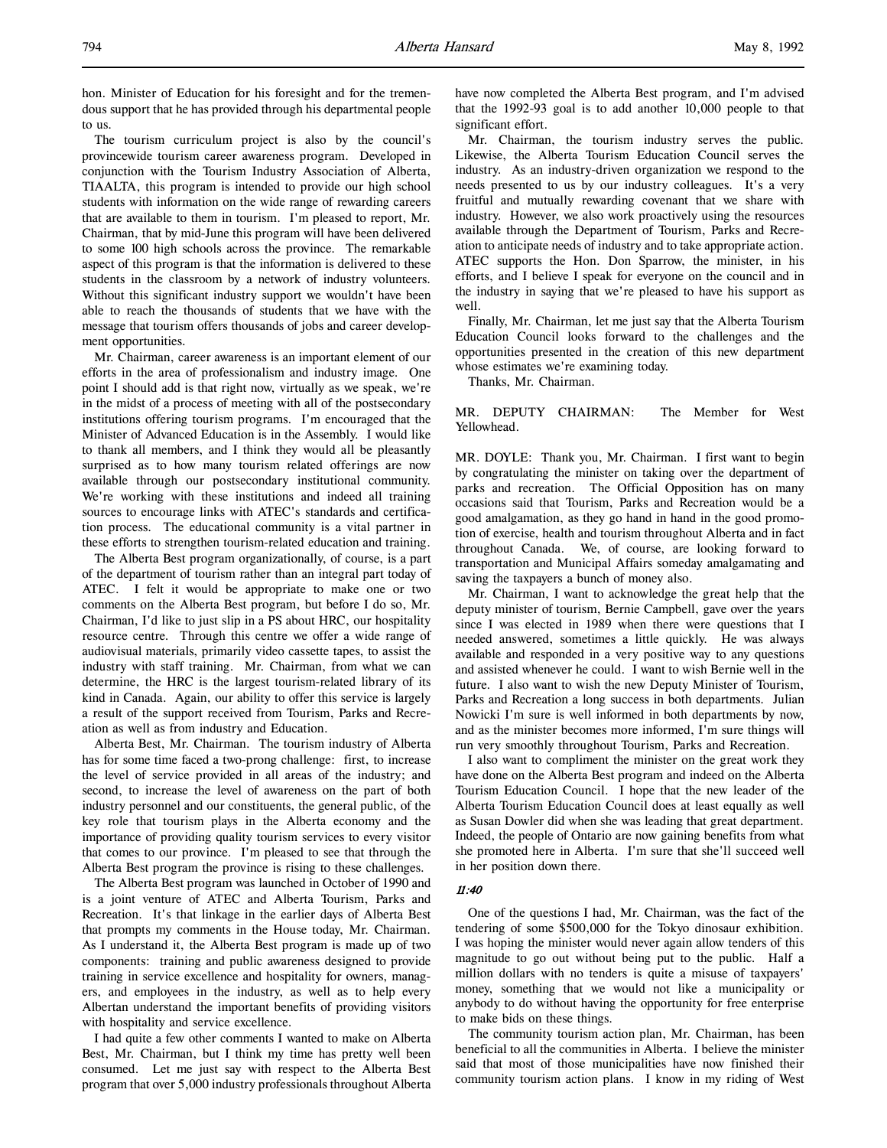hon. Minister of Education for his foresight and for the tremendous support that he has provided through his departmental people to us.

The tourism curriculum project is also by the council's provincewide tourism career awareness program. Developed in conjunction with the Tourism Industry Association of Alberta, TIAALTA, this program is intended to provide our high school students with information on the wide range of rewarding careers that are available to them in tourism. I'm pleased to report, Mr. Chairman, that by mid-June this program will have been delivered to some 100 high schools across the province. The remarkable aspect of this program is that the information is delivered to these students in the classroom by a network of industry volunteers. Without this significant industry support we wouldn't have been able to reach the thousands of students that we have with the message that tourism offers thousands of jobs and career development opportunities.

Mr. Chairman, career awareness is an important element of our efforts in the area of professionalism and industry image. One point I should add is that right now, virtually as we speak, we're in the midst of a process of meeting with all of the postsecondary institutions offering tourism programs. I'm encouraged that the Minister of Advanced Education is in the Assembly. I would like to thank all members, and I think they would all be pleasantly surprised as to how many tourism related offerings are now available through our postsecondary institutional community. We're working with these institutions and indeed all training sources to encourage links with ATEC's standards and certification process. The educational community is a vital partner in these efforts to strengthen tourism-related education and training.

The Alberta Best program organizationally, of course, is a part of the department of tourism rather than an integral part today of ATEC. I felt it would be appropriate to make one or two comments on the Alberta Best program, but before I do so, Mr. Chairman, I'd like to just slip in a PS about HRC, our hospitality resource centre. Through this centre we offer a wide range of audiovisual materials, primarily video cassette tapes, to assist the industry with staff training. Mr. Chairman, from what we can determine, the HRC is the largest tourism-related library of its kind in Canada. Again, our ability to offer this service is largely a result of the support received from Tourism, Parks and Recreation as well as from industry and Education.

Alberta Best, Mr. Chairman. The tourism industry of Alberta has for some time faced a two-prong challenge: first, to increase the level of service provided in all areas of the industry; and second, to increase the level of awareness on the part of both industry personnel and our constituents, the general public, of the key role that tourism plays in the Alberta economy and the importance of providing quality tourism services to every visitor that comes to our province. I'm pleased to see that through the Alberta Best program the province is rising to these challenges.

The Alberta Best program was launched in October of 1990 and is a joint venture of ATEC and Alberta Tourism, Parks and Recreation. It's that linkage in the earlier days of Alberta Best that prompts my comments in the House today, Mr. Chairman. As I understand it, the Alberta Best program is made up of two components: training and public awareness designed to provide training in service excellence and hospitality for owners, managers, and employees in the industry, as well as to help every Albertan understand the important benefits of providing visitors with hospitality and service excellence.

I had quite a few other comments I wanted to make on Alberta Best, Mr. Chairman, but I think my time has pretty well been consumed. Let me just say with respect to the Alberta Best program that over 5,000 industry professionals throughout Alberta

have now completed the Alberta Best program, and I'm advised that the 1992-93 goal is to add another 10,000 people to that significant effort.

Mr. Chairman, the tourism industry serves the public. Likewise, the Alberta Tourism Education Council serves the industry. As an industry-driven organization we respond to the needs presented to us by our industry colleagues. It's a very fruitful and mutually rewarding covenant that we share with industry. However, we also work proactively using the resources available through the Department of Tourism, Parks and Recreation to anticipate needs of industry and to take appropriate action. ATEC supports the Hon. Don Sparrow, the minister, in his efforts, and I believe I speak for everyone on the council and in the industry in saying that we're pleased to have his support as well.

Finally, Mr. Chairman, let me just say that the Alberta Tourism Education Council looks forward to the challenges and the opportunities presented in the creation of this new department whose estimates we're examining today.

Thanks, Mr. Chairman.

MR. DEPUTY CHAIRMAN: The Member for West Yellowhead.

MR. DOYLE: Thank you, Mr. Chairman. I first want to begin by congratulating the minister on taking over the department of parks and recreation. The Official Opposition has on many occasions said that Tourism, Parks and Recreation would be a good amalgamation, as they go hand in hand in the good promotion of exercise, health and tourism throughout Alberta and in fact throughout Canada. We, of course, are looking forward to transportation and Municipal Affairs someday amalgamating and saving the taxpayers a bunch of money also.

Mr. Chairman, I want to acknowledge the great help that the deputy minister of tourism, Bernie Campbell, gave over the years since I was elected in 1989 when there were questions that I needed answered, sometimes a little quickly. He was always available and responded in a very positive way to any questions and assisted whenever he could. I want to wish Bernie well in the future. I also want to wish the new Deputy Minister of Tourism, Parks and Recreation a long success in both departments. Julian Nowicki I'm sure is well informed in both departments by now, and as the minister becomes more informed, I'm sure things will run very smoothly throughout Tourism, Parks and Recreation.

I also want to compliment the minister on the great work they have done on the Alberta Best program and indeed on the Alberta Tourism Education Council. I hope that the new leader of the Alberta Tourism Education Council does at least equally as well as Susan Dowler did when she was leading that great department. Indeed, the people of Ontario are now gaining benefits from what she promoted here in Alberta. I'm sure that she'll succeed well in her position down there.

#### 11:40

One of the questions I had, Mr. Chairman, was the fact of the tendering of some \$500,000 for the Tokyo dinosaur exhibition. I was hoping the minister would never again allow tenders of this magnitude to go out without being put to the public. Half a million dollars with no tenders is quite a misuse of taxpayers' money, something that we would not like a municipality or anybody to do without having the opportunity for free enterprise to make bids on these things.

The community tourism action plan, Mr. Chairman, has been beneficial to all the communities in Alberta. I believe the minister said that most of those municipalities have now finished their community tourism action plans. I know in my riding of West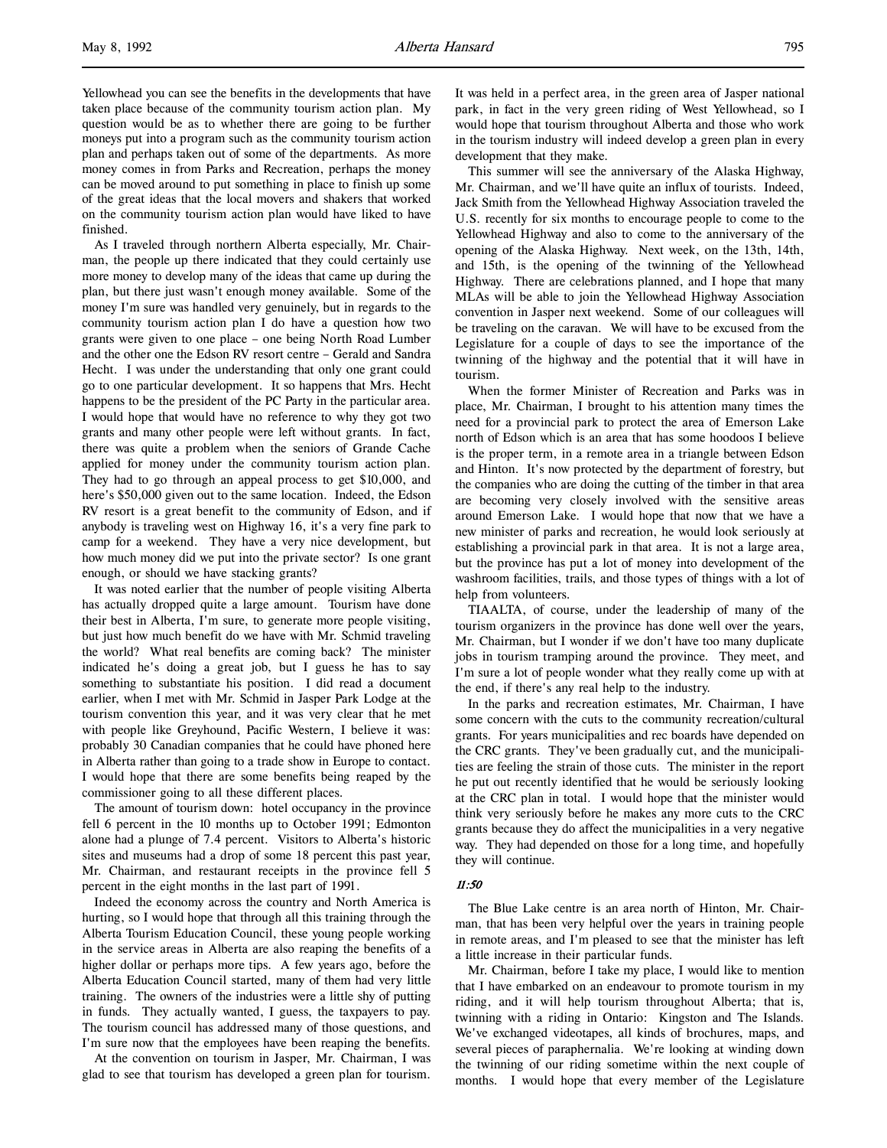Yellowhead you can see the benefits in the developments that have taken place because of the community tourism action plan. My question would be as to whether there are going to be further moneys put into a program such as the community tourism action plan and perhaps taken out of some of the departments. As more money comes in from Parks and Recreation, perhaps the money can be moved around to put something in place to finish up some of the great ideas that the local movers and shakers that worked on the community tourism action plan would have liked to have finished.

As I traveled through northern Alberta especially, Mr. Chairman, the people up there indicated that they could certainly use more money to develop many of the ideas that came up during the plan, but there just wasn't enough money available. Some of the money I'm sure was handled very genuinely, but in regards to the community tourism action plan I do have a question how two grants were given to one place – one being North Road Lumber and the other one the Edson RV resort centre – Gerald and Sandra Hecht. I was under the understanding that only one grant could go to one particular development. It so happens that Mrs. Hecht happens to be the president of the PC Party in the particular area. I would hope that would have no reference to why they got two grants and many other people were left without grants. In fact, there was quite a problem when the seniors of Grande Cache applied for money under the community tourism action plan. They had to go through an appeal process to get \$10,000, and here's \$50,000 given out to the same location. Indeed, the Edson RV resort is a great benefit to the community of Edson, and if anybody is traveling west on Highway 16, it's a very fine park to camp for a weekend. They have a very nice development, but how much money did we put into the private sector? Is one grant enough, or should we have stacking grants?

It was noted earlier that the number of people visiting Alberta has actually dropped quite a large amount. Tourism have done their best in Alberta, I'm sure, to generate more people visiting, but just how much benefit do we have with Mr. Schmid traveling the world? What real benefits are coming back? The minister indicated he's doing a great job, but I guess he has to say something to substantiate his position. I did read a document earlier, when I met with Mr. Schmid in Jasper Park Lodge at the tourism convention this year, and it was very clear that he met with people like Greyhound, Pacific Western, I believe it was: probably 30 Canadian companies that he could have phoned here in Alberta rather than going to a trade show in Europe to contact. I would hope that there are some benefits being reaped by the commissioner going to all these different places.

The amount of tourism down: hotel occupancy in the province fell 6 percent in the 10 months up to October 1991; Edmonton alone had a plunge of 7.4 percent. Visitors to Alberta's historic sites and museums had a drop of some 18 percent this past year, Mr. Chairman, and restaurant receipts in the province fell 5 percent in the eight months in the last part of 1991.

Indeed the economy across the country and North America is hurting, so I would hope that through all this training through the Alberta Tourism Education Council, these young people working in the service areas in Alberta are also reaping the benefits of a higher dollar or perhaps more tips. A few years ago, before the Alberta Education Council started, many of them had very little training. The owners of the industries were a little shy of putting in funds. They actually wanted, I guess, the taxpayers to pay. The tourism council has addressed many of those questions, and I'm sure now that the employees have been reaping the benefits.

At the convention on tourism in Jasper, Mr. Chairman, I was glad to see that tourism has developed a green plan for tourism. It was held in a perfect area, in the green area of Jasper national park, in fact in the very green riding of West Yellowhead, so I would hope that tourism throughout Alberta and those who work in the tourism industry will indeed develop a green plan in every development that they make.

This summer will see the anniversary of the Alaska Highway, Mr. Chairman, and we'll have quite an influx of tourists. Indeed, Jack Smith from the Yellowhead Highway Association traveled the U.S. recently for six months to encourage people to come to the Yellowhead Highway and also to come to the anniversary of the opening of the Alaska Highway. Next week, on the 13th, 14th, and 15th, is the opening of the twinning of the Yellowhead Highway. There are celebrations planned, and I hope that many MLAs will be able to join the Yellowhead Highway Association convention in Jasper next weekend. Some of our colleagues will be traveling on the caravan. We will have to be excused from the Legislature for a couple of days to see the importance of the twinning of the highway and the potential that it will have in tourism.

When the former Minister of Recreation and Parks was in place, Mr. Chairman, I brought to his attention many times the need for a provincial park to protect the area of Emerson Lake north of Edson which is an area that has some hoodoos I believe is the proper term, in a remote area in a triangle between Edson and Hinton. It's now protected by the department of forestry, but the companies who are doing the cutting of the timber in that area are becoming very closely involved with the sensitive areas around Emerson Lake. I would hope that now that we have a new minister of parks and recreation, he would look seriously at establishing a provincial park in that area. It is not a large area, but the province has put a lot of money into development of the washroom facilities, trails, and those types of things with a lot of help from volunteers.

TIAALTA, of course, under the leadership of many of the tourism organizers in the province has done well over the years, Mr. Chairman, but I wonder if we don't have too many duplicate jobs in tourism tramping around the province. They meet, and I'm sure a lot of people wonder what they really come up with at the end, if there's any real help to the industry.

In the parks and recreation estimates, Mr. Chairman, I have some concern with the cuts to the community recreation/cultural grants. For years municipalities and rec boards have depended on the CRC grants. They've been gradually cut, and the municipalities are feeling the strain of those cuts. The minister in the report he put out recently identified that he would be seriously looking at the CRC plan in total. I would hope that the minister would think very seriously before he makes any more cuts to the CRC grants because they do affect the municipalities in a very negative way. They had depended on those for a long time, and hopefully they will continue.

# 11:50

The Blue Lake centre is an area north of Hinton, Mr. Chairman, that has been very helpful over the years in training people in remote areas, and I'm pleased to see that the minister has left a little increase in their particular funds.

Mr. Chairman, before I take my place, I would like to mention that I have embarked on an endeavour to promote tourism in my riding, and it will help tourism throughout Alberta; that is, twinning with a riding in Ontario: Kingston and The Islands. We've exchanged videotapes, all kinds of brochures, maps, and several pieces of paraphernalia. We're looking at winding down the twinning of our riding sometime within the next couple of months. I would hope that every member of the Legislature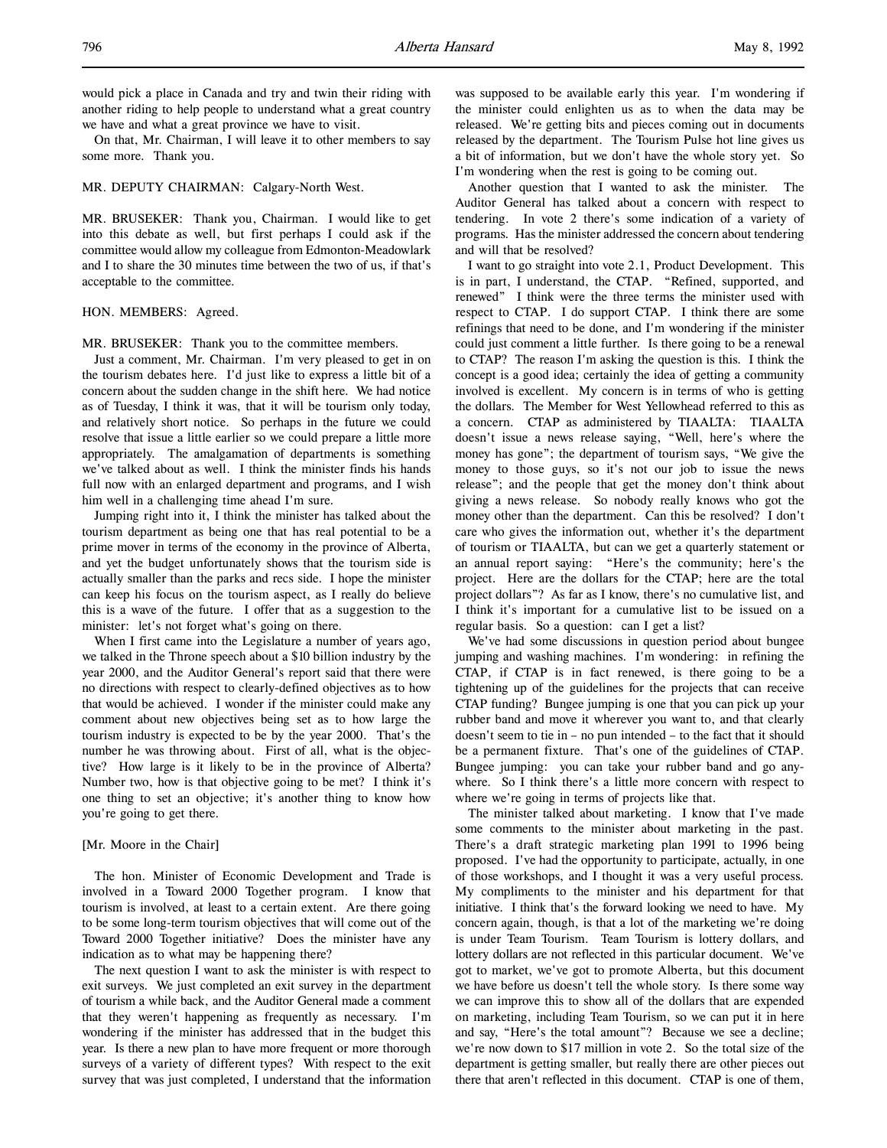On that, Mr. Chairman, I will leave it to other members to say some more. Thank you.

#### MR. DEPUTY CHAIRMAN: Calgary-North West.

MR. BRUSEKER: Thank you, Chairman. I would like to get into this debate as well, but first perhaps I could ask if the committee would allow my colleague from Edmonton-Meadowlark and I to share the 30 minutes time between the two of us, if that's acceptable to the committee.

## HON. MEMBERS: Agreed.

MR. BRUSEKER: Thank you to the committee members.

Just a comment, Mr. Chairman. I'm very pleased to get in on the tourism debates here. I'd just like to express a little bit of a concern about the sudden change in the shift here. We had notice as of Tuesday, I think it was, that it will be tourism only today, and relatively short notice. So perhaps in the future we could resolve that issue a little earlier so we could prepare a little more appropriately. The amalgamation of departments is something we've talked about as well. I think the minister finds his hands full now with an enlarged department and programs, and I wish him well in a challenging time ahead I'm sure.

Jumping right into it, I think the minister has talked about the tourism department as being one that has real potential to be a prime mover in terms of the economy in the province of Alberta, and yet the budget unfortunately shows that the tourism side is actually smaller than the parks and recs side. I hope the minister can keep his focus on the tourism aspect, as I really do believe this is a wave of the future. I offer that as a suggestion to the minister: let's not forget what's going on there.

When I first came into the Legislature a number of years ago, we talked in the Throne speech about a \$10 billion industry by the year 2000, and the Auditor General's report said that there were no directions with respect to clearly-defined objectives as to how that would be achieved. I wonder if the minister could make any comment about new objectives being set as to how large the tourism industry is expected to be by the year 2000. That's the number he was throwing about. First of all, what is the objective? How large is it likely to be in the province of Alberta? Number two, how is that objective going to be met? I think it's one thing to set an objective; it's another thing to know how you're going to get there.

### [Mr. Moore in the Chair]

The hon. Minister of Economic Development and Trade is involved in a Toward 2000 Together program. I know that tourism is involved, at least to a certain extent. Are there going to be some long-term tourism objectives that will come out of the Toward 2000 Together initiative? Does the minister have any indication as to what may be happening there?

The next question I want to ask the minister is with respect to exit surveys. We just completed an exit survey in the department of tourism a while back, and the Auditor General made a comment that they weren't happening as frequently as necessary. I'm wondering if the minister has addressed that in the budget this year. Is there a new plan to have more frequent or more thorough surveys of a variety of different types? With respect to the exit survey that was just completed, I understand that the information

was supposed to be available early this year. I'm wondering if the minister could enlighten us as to when the data may be released. We're getting bits and pieces coming out in documents released by the department. The Tourism Pulse hot line gives us a bit of information, but we don't have the whole story yet. So I'm wondering when the rest is going to be coming out.

Another question that I wanted to ask the minister. The Auditor General has talked about a concern with respect to tendering. In vote 2 there's some indication of a variety of programs. Has the minister addressed the concern about tendering and will that be resolved?

I want to go straight into vote 2.1, Product Development. This is in part, I understand, the CTAP. "Refined, supported, and renewed" I think were the three terms the minister used with respect to CTAP. I do support CTAP. I think there are some refinings that need to be done, and I'm wondering if the minister could just comment a little further. Is there going to be a renewal to CTAP? The reason I'm asking the question is this. I think the concept is a good idea; certainly the idea of getting a community involved is excellent. My concern is in terms of who is getting the dollars. The Member for West Yellowhead referred to this as a concern. CTAP as administered by TIAALTA: TIAALTA doesn't issue a news release saying, "Well, here's where the money has gone"; the department of tourism says, "We give the money to those guys, so it's not our job to issue the news release"; and the people that get the money don't think about giving a news release. So nobody really knows who got the money other than the department. Can this be resolved? I don't care who gives the information out, whether it's the department of tourism or TIAALTA, but can we get a quarterly statement or an annual report saying: "Here's the community; here's the project. Here are the dollars for the CTAP; here are the total project dollars"? As far as I know, there's no cumulative list, and I think it's important for a cumulative list to be issued on a regular basis. So a question: can I get a list?

We've had some discussions in question period about bungee jumping and washing machines. I'm wondering: in refining the CTAP, if CTAP is in fact renewed, is there going to be a tightening up of the guidelines for the projects that can receive CTAP funding? Bungee jumping is one that you can pick up your rubber band and move it wherever you want to, and that clearly doesn't seem to tie in – no pun intended – to the fact that it should be a permanent fixture. That's one of the guidelines of CTAP. Bungee jumping: you can take your rubber band and go anywhere. So I think there's a little more concern with respect to where we're going in terms of projects like that.

The minister talked about marketing. I know that I've made some comments to the minister about marketing in the past. There's a draft strategic marketing plan 1991 to 1996 being proposed. I've had the opportunity to participate, actually, in one of those workshops, and I thought it was a very useful process. My compliments to the minister and his department for that initiative. I think that's the forward looking we need to have. My concern again, though, is that a lot of the marketing we're doing is under Team Tourism. Team Tourism is lottery dollars, and lottery dollars are not reflected in this particular document. We've got to market, we've got to promote Alberta, but this document we have before us doesn't tell the whole story. Is there some way we can improve this to show all of the dollars that are expended on marketing, including Team Tourism, so we can put it in here and say, "Here's the total amount"? Because we see a decline; we're now down to \$17 million in vote 2. So the total size of the department is getting smaller, but really there are other pieces out there that aren't reflected in this document. CTAP is one of them,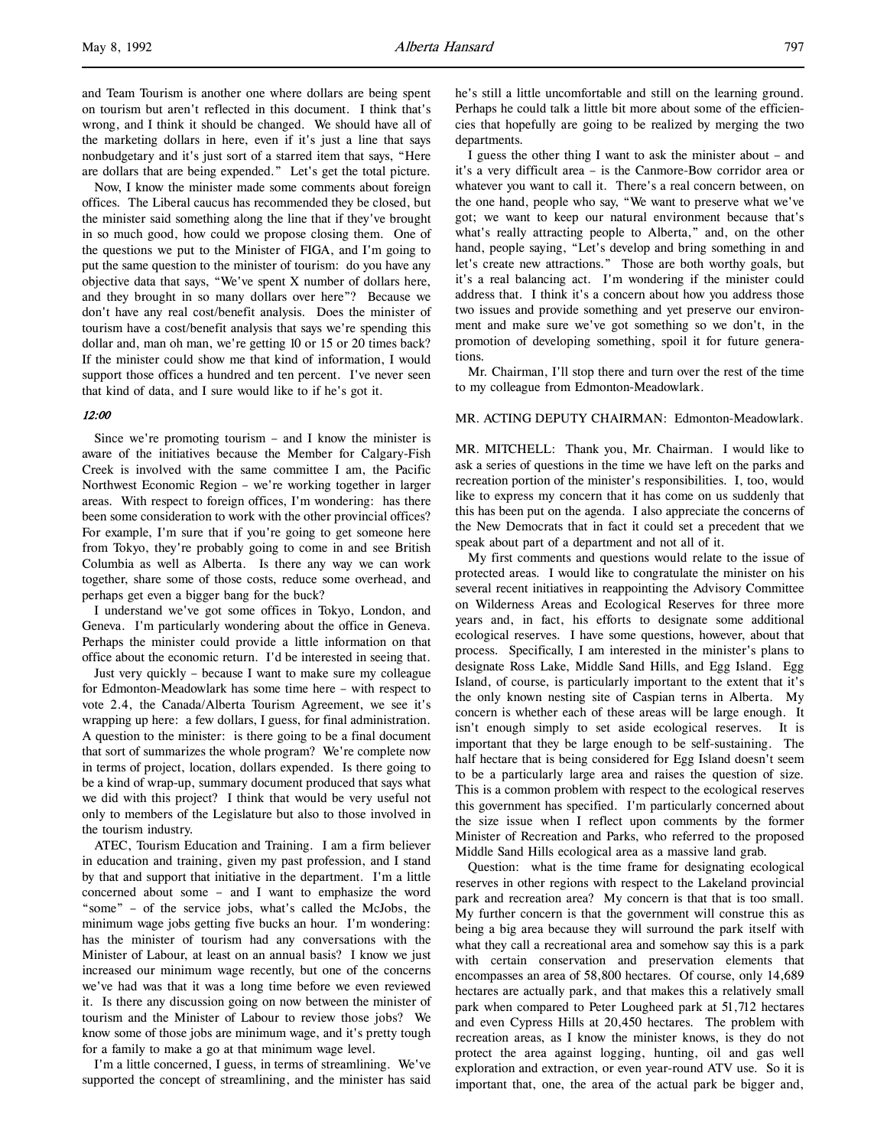and Team Tourism is another one where dollars are being spent on tourism but aren't reflected in this document. I think that's wrong, and I think it should be changed. We should have all of the marketing dollars in here, even if it's just a line that says nonbudgetary and it's just sort of a starred item that says, "Here are dollars that are being expended." Let's get the total picture.

Now, I know the minister made some comments about foreign offices. The Liberal caucus has recommended they be closed, but the minister said something along the line that if they've brought in so much good, how could we propose closing them. One of the questions we put to the Minister of FIGA, and I'm going to put the same question to the minister of tourism: do you have any objective data that says, "We've spent X number of dollars here, and they brought in so many dollars over here"? Because we don't have any real cost/benefit analysis. Does the minister of tourism have a cost/benefit analysis that says we're spending this dollar and, man oh man, we're getting 10 or 15 or 20 times back? If the minister could show me that kind of information, I would support those offices a hundred and ten percent. I've never seen that kind of data, and I sure would like to if he's got it.

#### 12:00

Since we're promoting tourism – and I know the minister is aware of the initiatives because the Member for Calgary-Fish Creek is involved with the same committee I am, the Pacific Northwest Economic Region – we're working together in larger areas. With respect to foreign offices, I'm wondering: has there been some consideration to work with the other provincial offices? For example, I'm sure that if you're going to get someone here from Tokyo, they're probably going to come in and see British Columbia as well as Alberta. Is there any way we can work together, share some of those costs, reduce some overhead, and perhaps get even a bigger bang for the buck?

I understand we've got some offices in Tokyo, London, and Geneva. I'm particularly wondering about the office in Geneva. Perhaps the minister could provide a little information on that office about the economic return. I'd be interested in seeing that.

Just very quickly – because I want to make sure my colleague for Edmonton-Meadowlark has some time here – with respect to vote 2.4, the Canada/Alberta Tourism Agreement, we see it's wrapping up here: a few dollars, I guess, for final administration. A question to the minister: is there going to be a final document that sort of summarizes the whole program? We're complete now in terms of project, location, dollars expended. Is there going to be a kind of wrap-up, summary document produced that says what we did with this project? I think that would be very useful not only to members of the Legislature but also to those involved in the tourism industry.

ATEC, Tourism Education and Training. I am a firm believer in education and training, given my past profession, and I stand by that and support that initiative in the department. I'm a little concerned about some – and I want to emphasize the word "some" – of the service jobs, what's called the McJobs, the minimum wage jobs getting five bucks an hour. I'm wondering: has the minister of tourism had any conversations with the Minister of Labour, at least on an annual basis? I know we just increased our minimum wage recently, but one of the concerns we've had was that it was a long time before we even reviewed it. Is there any discussion going on now between the minister of tourism and the Minister of Labour to review those jobs? We know some of those jobs are minimum wage, and it's pretty tough for a family to make a go at that minimum wage level.

I'm a little concerned, I guess, in terms of streamlining. We've supported the concept of streamlining, and the minister has said

he's still a little uncomfortable and still on the learning ground. Perhaps he could talk a little bit more about some of the efficiencies that hopefully are going to be realized by merging the two departments.

I guess the other thing I want to ask the minister about – and it's a very difficult area – is the Canmore-Bow corridor area or whatever you want to call it. There's a real concern between, on the one hand, people who say, "We want to preserve what we've got; we want to keep our natural environment because that's what's really attracting people to Alberta," and, on the other hand, people saying, "Let's develop and bring something in and let's create new attractions." Those are both worthy goals, but it's a real balancing act. I'm wondering if the minister could address that. I think it's a concern about how you address those two issues and provide something and yet preserve our environment and make sure we've got something so we don't, in the promotion of developing something, spoil it for future generations.

Mr. Chairman, I'll stop there and turn over the rest of the time to my colleague from Edmonton-Meadowlark.

### MR. ACTING DEPUTY CHAIRMAN: Edmonton-Meadowlark.

MR. MITCHELL: Thank you, Mr. Chairman. I would like to ask a series of questions in the time we have left on the parks and recreation portion of the minister's responsibilities. I, too, would like to express my concern that it has come on us suddenly that this has been put on the agenda. I also appreciate the concerns of the New Democrats that in fact it could set a precedent that we speak about part of a department and not all of it.

My first comments and questions would relate to the issue of protected areas. I would like to congratulate the minister on his several recent initiatives in reappointing the Advisory Committee on Wilderness Areas and Ecological Reserves for three more years and, in fact, his efforts to designate some additional ecological reserves. I have some questions, however, about that process. Specifically, I am interested in the minister's plans to designate Ross Lake, Middle Sand Hills, and Egg Island. Egg Island, of course, is particularly important to the extent that it's the only known nesting site of Caspian terns in Alberta. My concern is whether each of these areas will be large enough. It isn't enough simply to set aside ecological reserves. It is important that they be large enough to be self-sustaining. The half hectare that is being considered for Egg Island doesn't seem to be a particularly large area and raises the question of size. This is a common problem with respect to the ecological reserves this government has specified. I'm particularly concerned about the size issue when I reflect upon comments by the former Minister of Recreation and Parks, who referred to the proposed Middle Sand Hills ecological area as a massive land grab.

Question: what is the time frame for designating ecological reserves in other regions with respect to the Lakeland provincial park and recreation area? My concern is that that is too small. My further concern is that the government will construe this as being a big area because they will surround the park itself with what they call a recreational area and somehow say this is a park with certain conservation and preservation elements that encompasses an area of 58,800 hectares. Of course, only 14,689 hectares are actually park, and that makes this a relatively small park when compared to Peter Lougheed park at 51,712 hectares and even Cypress Hills at 20,450 hectares. The problem with recreation areas, as I know the minister knows, is they do not protect the area against logging, hunting, oil and gas well exploration and extraction, or even year-round ATV use. So it is important that, one, the area of the actual park be bigger and,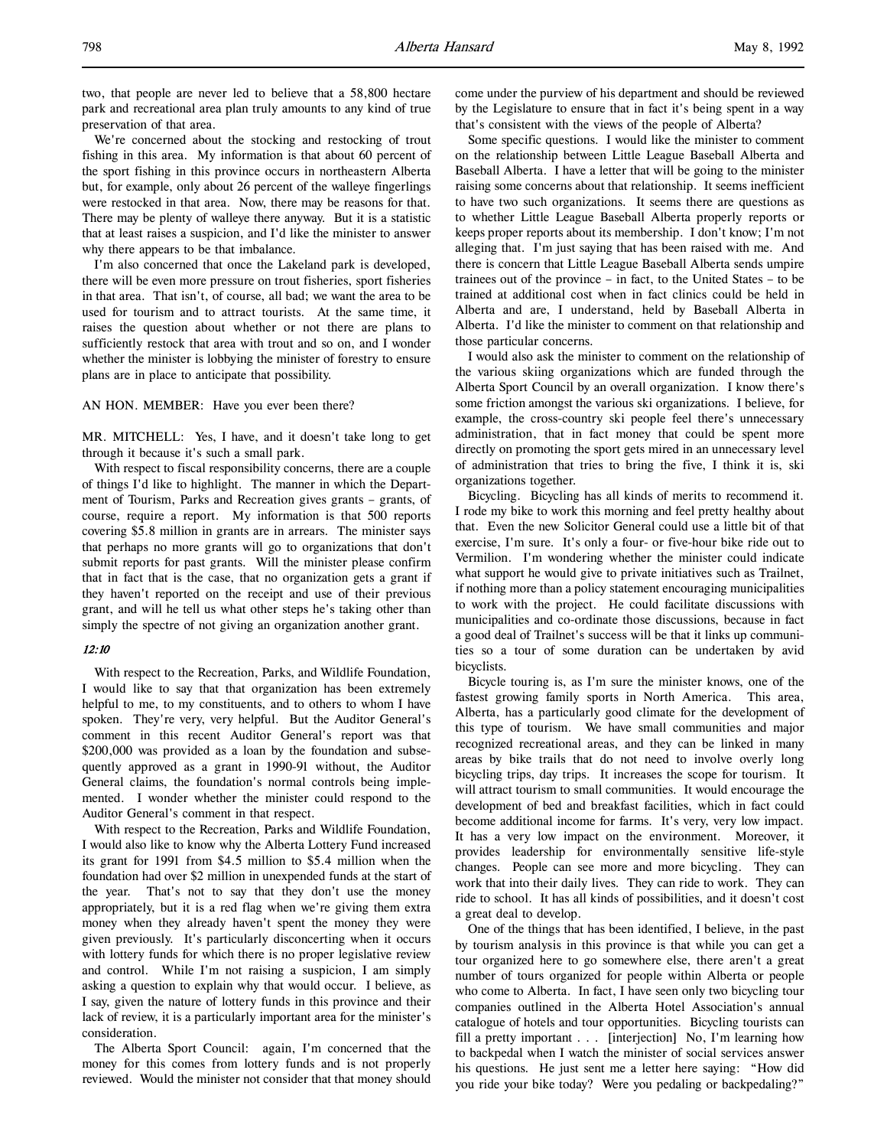two, that people are never led to believe that a 58,800 hectare park and recreational area plan truly amounts to any kind of true preservation of that area.

We're concerned about the stocking and restocking of trout fishing in this area. My information is that about 60 percent of the sport fishing in this province occurs in northeastern Alberta but, for example, only about 26 percent of the walleye fingerlings were restocked in that area. Now, there may be reasons for that. There may be plenty of walleye there anyway. But it is a statistic that at least raises a suspicion, and I'd like the minister to answer why there appears to be that imbalance.

I'm also concerned that once the Lakeland park is developed, there will be even more pressure on trout fisheries, sport fisheries in that area. That isn't, of course, all bad; we want the area to be used for tourism and to attract tourists. At the same time, it raises the question about whether or not there are plans to sufficiently restock that area with trout and so on, and I wonder whether the minister is lobbying the minister of forestry to ensure plans are in place to anticipate that possibility.

AN HON. MEMBER: Have you ever been there?

MR. MITCHELL: Yes, I have, and it doesn't take long to get through it because it's such a small park.

With respect to fiscal responsibility concerns, there are a couple of things I'd like to highlight. The manner in which the Department of Tourism, Parks and Recreation gives grants – grants, of course, require a report. My information is that 500 reports covering \$5.8 million in grants are in arrears. The minister says that perhaps no more grants will go to organizations that don't submit reports for past grants. Will the minister please confirm that in fact that is the case, that no organization gets a grant if they haven't reported on the receipt and use of their previous grant, and will he tell us what other steps he's taking other than simply the spectre of not giving an organization another grant.

#### 12:10

With respect to the Recreation, Parks, and Wildlife Foundation, I would like to say that that organization has been extremely helpful to me, to my constituents, and to others to whom I have spoken. They're very, very helpful. But the Auditor General's comment in this recent Auditor General's report was that \$200,000 was provided as a loan by the foundation and subsequently approved as a grant in 1990-91 without, the Auditor General claims, the foundation's normal controls being implemented. I wonder whether the minister could respond to the Auditor General's comment in that respect.

With respect to the Recreation, Parks and Wildlife Foundation, I would also like to know why the Alberta Lottery Fund increased its grant for 1991 from \$4.5 million to \$5.4 million when the foundation had over \$2 million in unexpended funds at the start of the year. That's not to say that they don't use the money appropriately, but it is a red flag when we're giving them extra money when they already haven't spent the money they were given previously. It's particularly disconcerting when it occurs with lottery funds for which there is no proper legislative review and control. While I'm not raising a suspicion, I am simply asking a question to explain why that would occur. I believe, as I say, given the nature of lottery funds in this province and their lack of review, it is a particularly important area for the minister's consideration.

The Alberta Sport Council: again, I'm concerned that the money for this comes from lottery funds and is not properly reviewed. Would the minister not consider that that money should come under the purview of his department and should be reviewed by the Legislature to ensure that in fact it's being spent in a way that's consistent with the views of the people of Alberta?

Some specific questions. I would like the minister to comment on the relationship between Little League Baseball Alberta and Baseball Alberta. I have a letter that will be going to the minister raising some concerns about that relationship. It seems inefficient to have two such organizations. It seems there are questions as to whether Little League Baseball Alberta properly reports or keeps proper reports about its membership. I don't know; I'm not alleging that. I'm just saying that has been raised with me. And there is concern that Little League Baseball Alberta sends umpire trainees out of the province – in fact, to the United States – to be trained at additional cost when in fact clinics could be held in Alberta and are, I understand, held by Baseball Alberta in Alberta. I'd like the minister to comment on that relationship and those particular concerns.

I would also ask the minister to comment on the relationship of the various skiing organizations which are funded through the Alberta Sport Council by an overall organization. I know there's some friction amongst the various ski organizations. I believe, for example, the cross-country ski people feel there's unnecessary administration, that in fact money that could be spent more directly on promoting the sport gets mired in an unnecessary level of administration that tries to bring the five, I think it is, ski organizations together.

Bicycling. Bicycling has all kinds of merits to recommend it. I rode my bike to work this morning and feel pretty healthy about that. Even the new Solicitor General could use a little bit of that exercise, I'm sure. It's only a four- or five-hour bike ride out to Vermilion. I'm wondering whether the minister could indicate what support he would give to private initiatives such as Trailnet, if nothing more than a policy statement encouraging municipalities to work with the project. He could facilitate discussions with municipalities and co-ordinate those discussions, because in fact a good deal of Trailnet's success will be that it links up communities so a tour of some duration can be undertaken by avid bicyclists.

Bicycle touring is, as I'm sure the minister knows, one of the fastest growing family sports in North America. This area, Alberta, has a particularly good climate for the development of this type of tourism. We have small communities and major recognized recreational areas, and they can be linked in many areas by bike trails that do not need to involve overly long bicycling trips, day trips. It increases the scope for tourism. It will attract tourism to small communities. It would encourage the development of bed and breakfast facilities, which in fact could become additional income for farms. It's very, very low impact. It has a very low impact on the environment. Moreover, it provides leadership for environmentally sensitive life-style changes. People can see more and more bicycling. They can work that into their daily lives. They can ride to work. They can ride to school. It has all kinds of possibilities, and it doesn't cost a great deal to develop.

One of the things that has been identified, I believe, in the past by tourism analysis in this province is that while you can get a tour organized here to go somewhere else, there aren't a great number of tours organized for people within Alberta or people who come to Alberta. In fact, I have seen only two bicycling tour companies outlined in the Alberta Hotel Association's annual catalogue of hotels and tour opportunities. Bicycling tourists can fill a pretty important . . . [interjection] No, I'm learning how to backpedal when I watch the minister of social services answer his questions. He just sent me a letter here saying: "How did you ride your bike today? Were you pedaling or backpedaling?"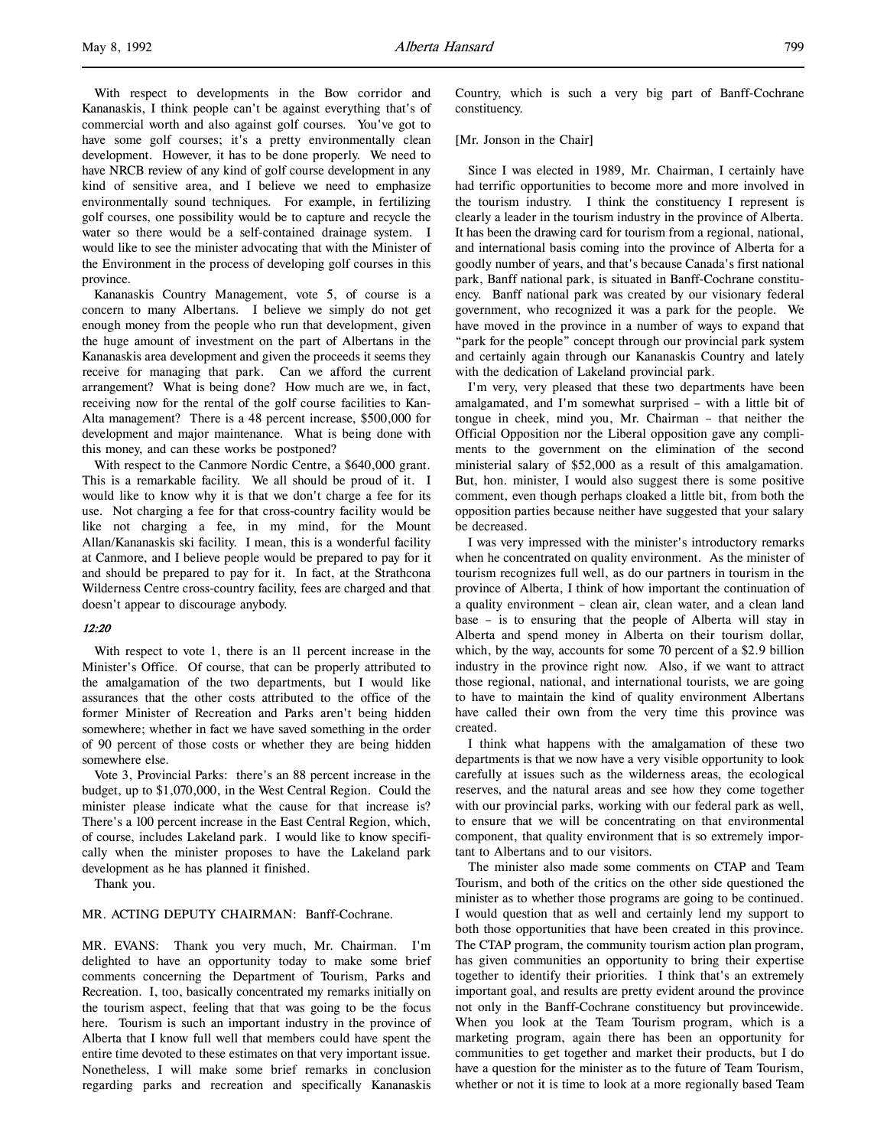With respect to developments in the Bow corridor and Kananaskis, I think people can't be against everything that's of commercial worth and also against golf courses. You've got to have some golf courses; it's a pretty environmentally clean development. However, it has to be done properly. We need to have NRCB review of any kind of golf course development in any kind of sensitive area, and I believe we need to emphasize environmentally sound techniques. For example, in fertilizing golf courses, one possibility would be to capture and recycle the water so there would be a self-contained drainage system. I would like to see the minister advocating that with the Minister of the Environment in the process of developing golf courses in this province.

Kananaskis Country Management, vote 5, of course is a concern to many Albertans. I believe we simply do not get enough money from the people who run that development, given the huge amount of investment on the part of Albertans in the Kananaskis area development and given the proceeds it seems they receive for managing that park. Can we afford the current arrangement? What is being done? How much are we, in fact, receiving now for the rental of the golf course facilities to Kan-Alta management? There is a 48 percent increase, \$500,000 for development and major maintenance. What is being done with this money, and can these works be postponed?

With respect to the Canmore Nordic Centre, a \$640,000 grant. This is a remarkable facility. We all should be proud of it. I would like to know why it is that we don't charge a fee for its use. Not charging a fee for that cross-country facility would be like not charging a fee, in my mind, for the Mount Allan/Kananaskis ski facility. I mean, this is a wonderful facility at Canmore, and I believe people would be prepared to pay for it and should be prepared to pay for it. In fact, at the Strathcona Wilderness Centre cross-country facility, fees are charged and that doesn't appear to discourage anybody.

# 12:20

With respect to vote 1, there is an 11 percent increase in the Minister's Office. Of course, that can be properly attributed to the amalgamation of the two departments, but I would like assurances that the other costs attributed to the office of the former Minister of Recreation and Parks aren't being hidden somewhere; whether in fact we have saved something in the order of 90 percent of those costs or whether they are being hidden somewhere else.

Vote 3, Provincial Parks: there's an 88 percent increase in the budget, up to \$1,070,000, in the West Central Region. Could the minister please indicate what the cause for that increase is? There's a 100 percent increase in the East Central Region, which, of course, includes Lakeland park. I would like to know specifically when the minister proposes to have the Lakeland park development as he has planned it finished.

Thank you.

#### MR. ACTING DEPUTY CHAIRMAN: Banff-Cochrane.

MR. EVANS: Thank you very much, Mr. Chairman. I'm delighted to have an opportunity today to make some brief comments concerning the Department of Tourism, Parks and Recreation. I, too, basically concentrated my remarks initially on the tourism aspect, feeling that that was going to be the focus here. Tourism is such an important industry in the province of Alberta that I know full well that members could have spent the entire time devoted to these estimates on that very important issue. Nonetheless, I will make some brief remarks in conclusion regarding parks and recreation and specifically Kananaskis

Country, which is such a very big part of Banff-Cochrane constituency.

### [Mr. Jonson in the Chair]

Since I was elected in 1989, Mr. Chairman, I certainly have had terrific opportunities to become more and more involved in the tourism industry. I think the constituency I represent is clearly a leader in the tourism industry in the province of Alberta. It has been the drawing card for tourism from a regional, national, and international basis coming into the province of Alberta for a goodly number of years, and that's because Canada's first national park, Banff national park, is situated in Banff-Cochrane constituency. Banff national park was created by our visionary federal government, who recognized it was a park for the people. We have moved in the province in a number of ways to expand that "park for the people" concept through our provincial park system and certainly again through our Kananaskis Country and lately with the dedication of Lakeland provincial park.

I'm very, very pleased that these two departments have been amalgamated, and I'm somewhat surprised – with a little bit of tongue in cheek, mind you, Mr. Chairman – that neither the Official Opposition nor the Liberal opposition gave any compliments to the government on the elimination of the second ministerial salary of \$52,000 as a result of this amalgamation. But, hon. minister, I would also suggest there is some positive comment, even though perhaps cloaked a little bit, from both the opposition parties because neither have suggested that your salary be decreased.

I was very impressed with the minister's introductory remarks when he concentrated on quality environment. As the minister of tourism recognizes full well, as do our partners in tourism in the province of Alberta, I think of how important the continuation of a quality environment – clean air, clean water, and a clean land base – is to ensuring that the people of Alberta will stay in Alberta and spend money in Alberta on their tourism dollar, which, by the way, accounts for some 70 percent of a \$2.9 billion industry in the province right now. Also, if we want to attract those regional, national, and international tourists, we are going to have to maintain the kind of quality environment Albertans have called their own from the very time this province was created.

I think what happens with the amalgamation of these two departments is that we now have a very visible opportunity to look carefully at issues such as the wilderness areas, the ecological reserves, and the natural areas and see how they come together with our provincial parks, working with our federal park as well, to ensure that we will be concentrating on that environmental component, that quality environment that is so extremely important to Albertans and to our visitors.

The minister also made some comments on CTAP and Team Tourism, and both of the critics on the other side questioned the minister as to whether those programs are going to be continued. I would question that as well and certainly lend my support to both those opportunities that have been created in this province. The CTAP program, the community tourism action plan program, has given communities an opportunity to bring their expertise together to identify their priorities. I think that's an extremely important goal, and results are pretty evident around the province not only in the Banff-Cochrane constituency but provincewide. When you look at the Team Tourism program, which is a marketing program, again there has been an opportunity for communities to get together and market their products, but I do have a question for the minister as to the future of Team Tourism, whether or not it is time to look at a more regionally based Team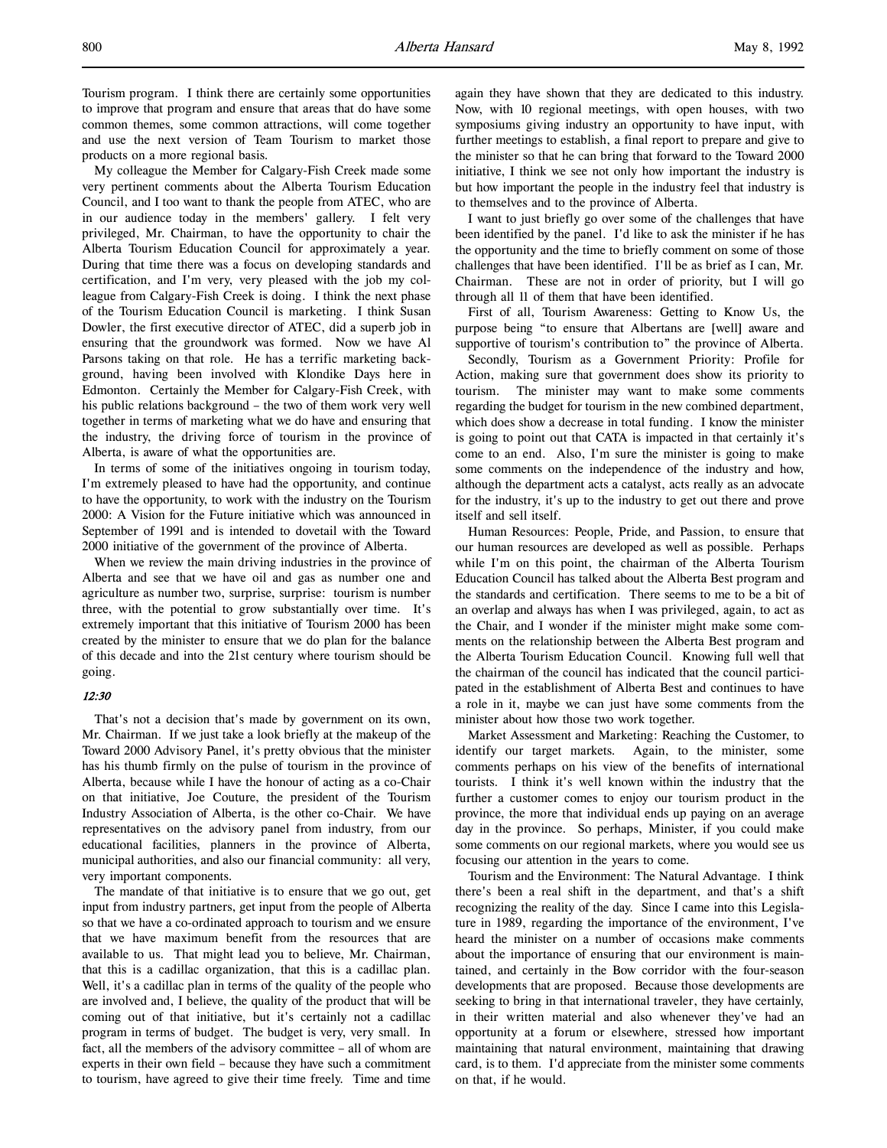Tourism program. I think there are certainly some opportunities to improve that program and ensure that areas that do have some common themes, some common attractions, will come together and use the next version of Team Tourism to market those products on a more regional basis.

My colleague the Member for Calgary-Fish Creek made some very pertinent comments about the Alberta Tourism Education Council, and I too want to thank the people from ATEC, who are in our audience today in the members' gallery. I felt very privileged, Mr. Chairman, to have the opportunity to chair the Alberta Tourism Education Council for approximately a year. During that time there was a focus on developing standards and certification, and I'm very, very pleased with the job my colleague from Calgary-Fish Creek is doing. I think the next phase of the Tourism Education Council is marketing. I think Susan Dowler, the first executive director of ATEC, did a superb job in ensuring that the groundwork was formed. Now we have Al Parsons taking on that role. He has a terrific marketing background, having been involved with Klondike Days here in Edmonton. Certainly the Member for Calgary-Fish Creek, with his public relations background – the two of them work very well together in terms of marketing what we do have and ensuring that the industry, the driving force of tourism in the province of Alberta, is aware of what the opportunities are.

In terms of some of the initiatives ongoing in tourism today, I'm extremely pleased to have had the opportunity, and continue to have the opportunity, to work with the industry on the Tourism 2000: A Vision for the Future initiative which was announced in September of 1991 and is intended to dovetail with the Toward 2000 initiative of the government of the province of Alberta.

When we review the main driving industries in the province of Alberta and see that we have oil and gas as number one and agriculture as number two, surprise, surprise: tourism is number three, with the potential to grow substantially over time. It's extremely important that this initiative of Tourism 2000 has been created by the minister to ensure that we do plan for the balance of this decade and into the 21st century where tourism should be going.

## 12:30

That's not a decision that's made by government on its own, Mr. Chairman. If we just take a look briefly at the makeup of the Toward 2000 Advisory Panel, it's pretty obvious that the minister has his thumb firmly on the pulse of tourism in the province of Alberta, because while I have the honour of acting as a co-Chair on that initiative, Joe Couture, the president of the Tourism Industry Association of Alberta, is the other co-Chair. We have representatives on the advisory panel from industry, from our educational facilities, planners in the province of Alberta, municipal authorities, and also our financial community: all very, very important components.

The mandate of that initiative is to ensure that we go out, get input from industry partners, get input from the people of Alberta so that we have a co-ordinated approach to tourism and we ensure that we have maximum benefit from the resources that are available to us. That might lead you to believe, Mr. Chairman, that this is a cadillac organization, that this is a cadillac plan. Well, it's a cadillac plan in terms of the quality of the people who are involved and, I believe, the quality of the product that will be coming out of that initiative, but it's certainly not a cadillac program in terms of budget. The budget is very, very small. In fact, all the members of the advisory committee – all of whom are experts in their own field – because they have such a commitment to tourism, have agreed to give their time freely. Time and time

again they have shown that they are dedicated to this industry. Now, with 10 regional meetings, with open houses, with two symposiums giving industry an opportunity to have input, with further meetings to establish, a final report to prepare and give to the minister so that he can bring that forward to the Toward 2000 initiative, I think we see not only how important the industry is but how important the people in the industry feel that industry is to themselves and to the province of Alberta.

I want to just briefly go over some of the challenges that have been identified by the panel. I'd like to ask the minister if he has the opportunity and the time to briefly comment on some of those challenges that have been identified. I'll be as brief as I can, Mr. Chairman. These are not in order of priority, but I will go through all 11 of them that have been identified.

First of all, Tourism Awareness: Getting to Know Us, the purpose being "to ensure that Albertans are [well] aware and supportive of tourism's contribution to" the province of Alberta.

Secondly, Tourism as a Government Priority: Profile for Action, making sure that government does show its priority to tourism. The minister may want to make some comments regarding the budget for tourism in the new combined department, which does show a decrease in total funding. I know the minister is going to point out that CATA is impacted in that certainly it's come to an end. Also, I'm sure the minister is going to make some comments on the independence of the industry and how, although the department acts a catalyst, acts really as an advocate for the industry, it's up to the industry to get out there and prove itself and sell itself.

Human Resources: People, Pride, and Passion, to ensure that our human resources are developed as well as possible. Perhaps while I'm on this point, the chairman of the Alberta Tourism Education Council has talked about the Alberta Best program and the standards and certification. There seems to me to be a bit of an overlap and always has when I was privileged, again, to act as the Chair, and I wonder if the minister might make some comments on the relationship between the Alberta Best program and the Alberta Tourism Education Council. Knowing full well that the chairman of the council has indicated that the council participated in the establishment of Alberta Best and continues to have a role in it, maybe we can just have some comments from the minister about how those two work together.

Market Assessment and Marketing: Reaching the Customer, to identify our target markets. Again, to the minister, some comments perhaps on his view of the benefits of international tourists. I think it's well known within the industry that the further a customer comes to enjoy our tourism product in the province, the more that individual ends up paying on an average day in the province. So perhaps, Minister, if you could make some comments on our regional markets, where you would see us focusing our attention in the years to come.

Tourism and the Environment: The Natural Advantage. I think there's been a real shift in the department, and that's a shift recognizing the reality of the day. Since I came into this Legislature in 1989, regarding the importance of the environment, I've heard the minister on a number of occasions make comments about the importance of ensuring that our environment is maintained, and certainly in the Bow corridor with the four-season developments that are proposed. Because those developments are seeking to bring in that international traveler, they have certainly, in their written material and also whenever they've had an opportunity at a forum or elsewhere, stressed how important maintaining that natural environment, maintaining that drawing card, is to them. I'd appreciate from the minister some comments on that, if he would.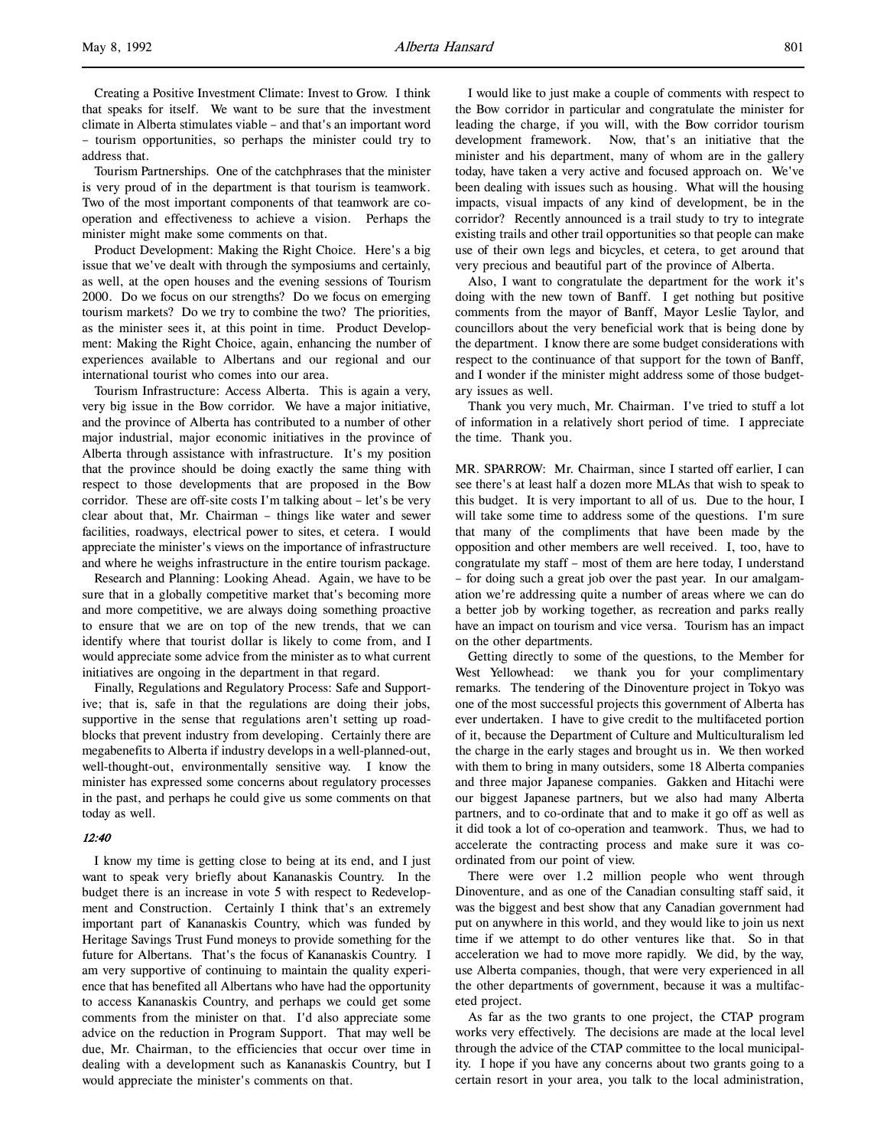Creating a Positive Investment Climate: Invest to Grow. I think that speaks for itself. We want to be sure that the investment climate in Alberta stimulates viable – and that's an important word – tourism opportunities, so perhaps the minister could try to address that.

Tourism Partnerships. One of the catchphrases that the minister is very proud of in the department is that tourism is teamwork. Two of the most important components of that teamwork are cooperation and effectiveness to achieve a vision. Perhaps the minister might make some comments on that.

Product Development: Making the Right Choice. Here's a big issue that we've dealt with through the symposiums and certainly, as well, at the open houses and the evening sessions of Tourism 2000. Do we focus on our strengths? Do we focus on emerging tourism markets? Do we try to combine the two? The priorities, as the minister sees it, at this point in time. Product Development: Making the Right Choice, again, enhancing the number of experiences available to Albertans and our regional and our international tourist who comes into our area.

Tourism Infrastructure: Access Alberta. This is again a very, very big issue in the Bow corridor. We have a major initiative, and the province of Alberta has contributed to a number of other major industrial, major economic initiatives in the province of Alberta through assistance with infrastructure. It's my position that the province should be doing exactly the same thing with respect to those developments that are proposed in the Bow corridor. These are off-site costs I'm talking about – let's be very clear about that, Mr. Chairman – things like water and sewer facilities, roadways, electrical power to sites, et cetera. I would appreciate the minister's views on the importance of infrastructure and where he weighs infrastructure in the entire tourism package.

Research and Planning: Looking Ahead. Again, we have to be sure that in a globally competitive market that's becoming more and more competitive, we are always doing something proactive to ensure that we are on top of the new trends, that we can identify where that tourist dollar is likely to come from, and I would appreciate some advice from the minister as to what current initiatives are ongoing in the department in that regard.

Finally, Regulations and Regulatory Process: Safe and Supportive; that is, safe in that the regulations are doing their jobs, supportive in the sense that regulations aren't setting up roadblocks that prevent industry from developing. Certainly there are megabenefits to Alberta if industry develops in a well-planned-out, well-thought-out, environmentally sensitive way. I know the minister has expressed some concerns about regulatory processes in the past, and perhaps he could give us some comments on that today as well.

# 12:40

I know my time is getting close to being at its end, and I just want to speak very briefly about Kananaskis Country. In the budget there is an increase in vote 5 with respect to Redevelopment and Construction. Certainly I think that's an extremely important part of Kananaskis Country, which was funded by Heritage Savings Trust Fund moneys to provide something for the future for Albertans. That's the focus of Kananaskis Country. I am very supportive of continuing to maintain the quality experience that has benefited all Albertans who have had the opportunity to access Kananaskis Country, and perhaps we could get some comments from the minister on that. I'd also appreciate some advice on the reduction in Program Support. That may well be due, Mr. Chairman, to the efficiencies that occur over time in dealing with a development such as Kananaskis Country, but I would appreciate the minister's comments on that.

I would like to just make a couple of comments with respect to the Bow corridor in particular and congratulate the minister for leading the charge, if you will, with the Bow corridor tourism development framework. Now, that's an initiative that the minister and his department, many of whom are in the gallery today, have taken a very active and focused approach on. We've been dealing with issues such as housing. What will the housing impacts, visual impacts of any kind of development, be in the corridor? Recently announced is a trail study to try to integrate existing trails and other trail opportunities so that people can make use of their own legs and bicycles, et cetera, to get around that very precious and beautiful part of the province of Alberta.

Also, I want to congratulate the department for the work it's doing with the new town of Banff. I get nothing but positive comments from the mayor of Banff, Mayor Leslie Taylor, and councillors about the very beneficial work that is being done by the department. I know there are some budget considerations with respect to the continuance of that support for the town of Banff, and I wonder if the minister might address some of those budgetary issues as well.

Thank you very much, Mr. Chairman. I've tried to stuff a lot of information in a relatively short period of time. I appreciate the time. Thank you.

MR. SPARROW: Mr. Chairman, since I started off earlier, I can see there's at least half a dozen more MLAs that wish to speak to this budget. It is very important to all of us. Due to the hour, I will take some time to address some of the questions. I'm sure that many of the compliments that have been made by the opposition and other members are well received. I, too, have to congratulate my staff – most of them are here today, I understand – for doing such a great job over the past year. In our amalgamation we're addressing quite a number of areas where we can do a better job by working together, as recreation and parks really have an impact on tourism and vice versa. Tourism has an impact on the other departments.

Getting directly to some of the questions, to the Member for West Yellowhead: we thank you for your complimentary remarks. The tendering of the Dinoventure project in Tokyo was one of the most successful projects this government of Alberta has ever undertaken. I have to give credit to the multifaceted portion of it, because the Department of Culture and Multiculturalism led the charge in the early stages and brought us in. We then worked with them to bring in many outsiders, some 18 Alberta companies and three major Japanese companies. Gakken and Hitachi were our biggest Japanese partners, but we also had many Alberta partners, and to co-ordinate that and to make it go off as well as it did took a lot of co-operation and teamwork. Thus, we had to accelerate the contracting process and make sure it was coordinated from our point of view.

There were over 1.2 million people who went through Dinoventure, and as one of the Canadian consulting staff said, it was the biggest and best show that any Canadian government had put on anywhere in this world, and they would like to join us next time if we attempt to do other ventures like that. So in that acceleration we had to move more rapidly. We did, by the way, use Alberta companies, though, that were very experienced in all the other departments of government, because it was a multifaceted project.

As far as the two grants to one project, the CTAP program works very effectively. The decisions are made at the local level through the advice of the CTAP committee to the local municipality. I hope if you have any concerns about two grants going to a certain resort in your area, you talk to the local administration,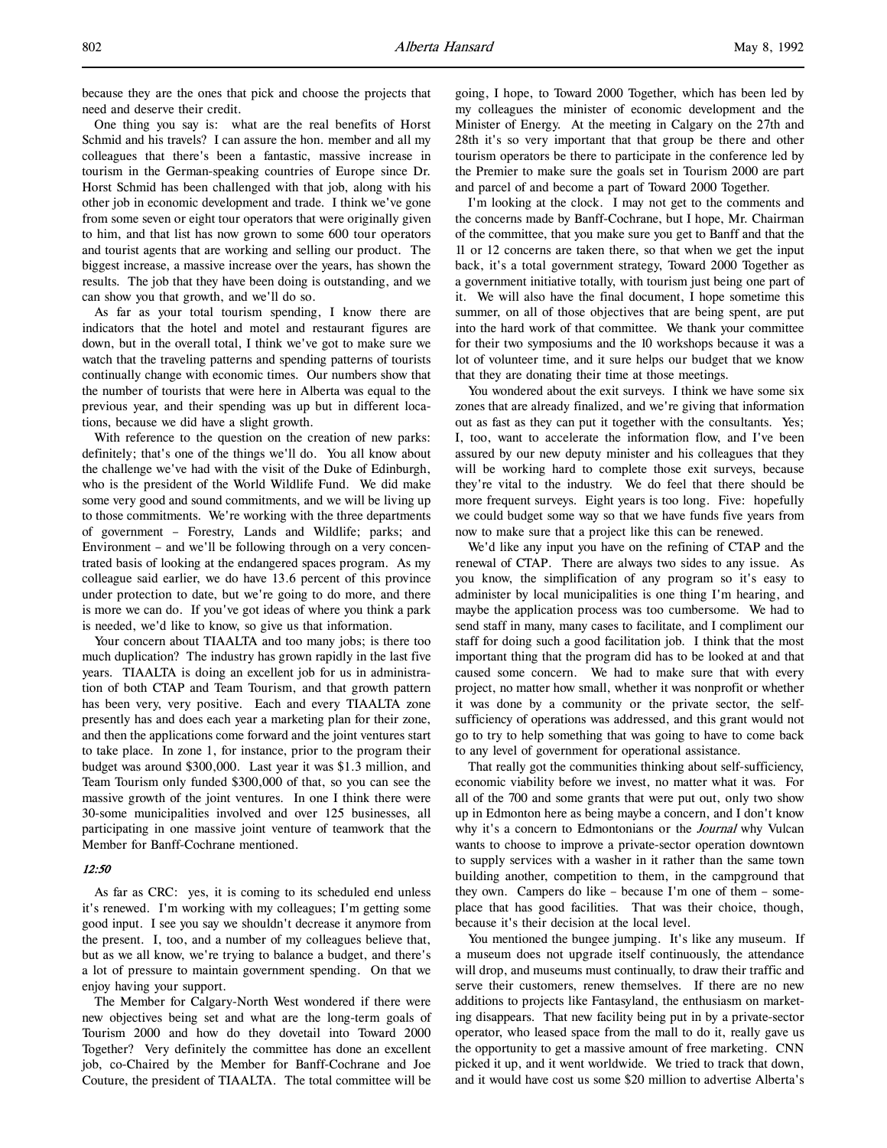because they are the ones that pick and choose the projects that need and deserve their credit.

One thing you say is: what are the real benefits of Horst Schmid and his travels? I can assure the hon. member and all my colleagues that there's been a fantastic, massive increase in tourism in the German-speaking countries of Europe since Dr. Horst Schmid has been challenged with that job, along with his other job in economic development and trade. I think we've gone from some seven or eight tour operators that were originally given to him, and that list has now grown to some 600 tour operators and tourist agents that are working and selling our product. The biggest increase, a massive increase over the years, has shown the results. The job that they have been doing is outstanding, and we can show you that growth, and we'll do so.

As far as your total tourism spending, I know there are indicators that the hotel and motel and restaurant figures are down, but in the overall total, I think we've got to make sure we watch that the traveling patterns and spending patterns of tourists continually change with economic times. Our numbers show that the number of tourists that were here in Alberta was equal to the previous year, and their spending was up but in different locations, because we did have a slight growth.

With reference to the question on the creation of new parks: definitely; that's one of the things we'll do. You all know about the challenge we've had with the visit of the Duke of Edinburgh, who is the president of the World Wildlife Fund. We did make some very good and sound commitments, and we will be living up to those commitments. We're working with the three departments of government – Forestry, Lands and Wildlife; parks; and Environment – and we'll be following through on a very concentrated basis of looking at the endangered spaces program. As my colleague said earlier, we do have 13.6 percent of this province under protection to date, but we're going to do more, and there is more we can do. If you've got ideas of where you think a park is needed, we'd like to know, so give us that information.

Your concern about TIAALTA and too many jobs; is there too much duplication? The industry has grown rapidly in the last five years. TIAALTA is doing an excellent job for us in administration of both CTAP and Team Tourism, and that growth pattern has been very, very positive. Each and every TIAALTA zone presently has and does each year a marketing plan for their zone, and then the applications come forward and the joint ventures start to take place. In zone 1, for instance, prior to the program their budget was around \$300,000. Last year it was \$1.3 million, and Team Tourism only funded \$300,000 of that, so you can see the massive growth of the joint ventures. In one I think there were 30-some municipalities involved and over 125 businesses, all participating in one massive joint venture of teamwork that the Member for Banff-Cochrane mentioned.

## 12:50

As far as CRC: yes, it is coming to its scheduled end unless it's renewed. I'm working with my colleagues; I'm getting some good input. I see you say we shouldn't decrease it anymore from the present. I, too, and a number of my colleagues believe that, but as we all know, we're trying to balance a budget, and there's a lot of pressure to maintain government spending. On that we enjoy having your support.

The Member for Calgary-North West wondered if there were new objectives being set and what are the long-term goals of Tourism 2000 and how do they dovetail into Toward 2000 Together? Very definitely the committee has done an excellent job, co-Chaired by the Member for Banff-Cochrane and Joe Couture, the president of TIAALTA. The total committee will be

going, I hope, to Toward 2000 Together, which has been led by my colleagues the minister of economic development and the Minister of Energy. At the meeting in Calgary on the 27th and 28th it's so very important that that group be there and other tourism operators be there to participate in the conference led by the Premier to make sure the goals set in Tourism 2000 are part and parcel of and become a part of Toward 2000 Together.

I'm looking at the clock. I may not get to the comments and the concerns made by Banff-Cochrane, but I hope, Mr. Chairman of the committee, that you make sure you get to Banff and that the 11 or 12 concerns are taken there, so that when we get the input back, it's a total government strategy, Toward 2000 Together as a government initiative totally, with tourism just being one part of it. We will also have the final document, I hope sometime this summer, on all of those objectives that are being spent, are put into the hard work of that committee. We thank your committee for their two symposiums and the 10 workshops because it was a lot of volunteer time, and it sure helps our budget that we know that they are donating their time at those meetings.

You wondered about the exit surveys. I think we have some six zones that are already finalized, and we're giving that information out as fast as they can put it together with the consultants. Yes; I, too, want to accelerate the information flow, and I've been assured by our new deputy minister and his colleagues that they will be working hard to complete those exit surveys, because they're vital to the industry. We do feel that there should be more frequent surveys. Eight years is too long. Five: hopefully we could budget some way so that we have funds five years from now to make sure that a project like this can be renewed.

We'd like any input you have on the refining of CTAP and the renewal of CTAP. There are always two sides to any issue. As you know, the simplification of any program so it's easy to administer by local municipalities is one thing I'm hearing, and maybe the application process was too cumbersome. We had to send staff in many, many cases to facilitate, and I compliment our staff for doing such a good facilitation job. I think that the most important thing that the program did has to be looked at and that caused some concern. We had to make sure that with every project, no matter how small, whether it was nonprofit or whether it was done by a community or the private sector, the selfsufficiency of operations was addressed, and this grant would not go to try to help something that was going to have to come back to any level of government for operational assistance.

That really got the communities thinking about self-sufficiency, economic viability before we invest, no matter what it was. For all of the 700 and some grants that were put out, only two show up in Edmonton here as being maybe a concern, and I don't know why it's a concern to Edmontonians or the Journal why Vulcan wants to choose to improve a private-sector operation downtown to supply services with a washer in it rather than the same town building another, competition to them, in the campground that they own. Campers do like – because I'm one of them – someplace that has good facilities. That was their choice, though, because it's their decision at the local level.

You mentioned the bungee jumping. It's like any museum. If a museum does not upgrade itself continuously, the attendance will drop, and museums must continually, to draw their traffic and serve their customers, renew themselves. If there are no new additions to projects like Fantasyland, the enthusiasm on marketing disappears. That new facility being put in by a private-sector operator, who leased space from the mall to do it, really gave us the opportunity to get a massive amount of free marketing. CNN picked it up, and it went worldwide. We tried to track that down, and it would have cost us some \$20 million to advertise Alberta's